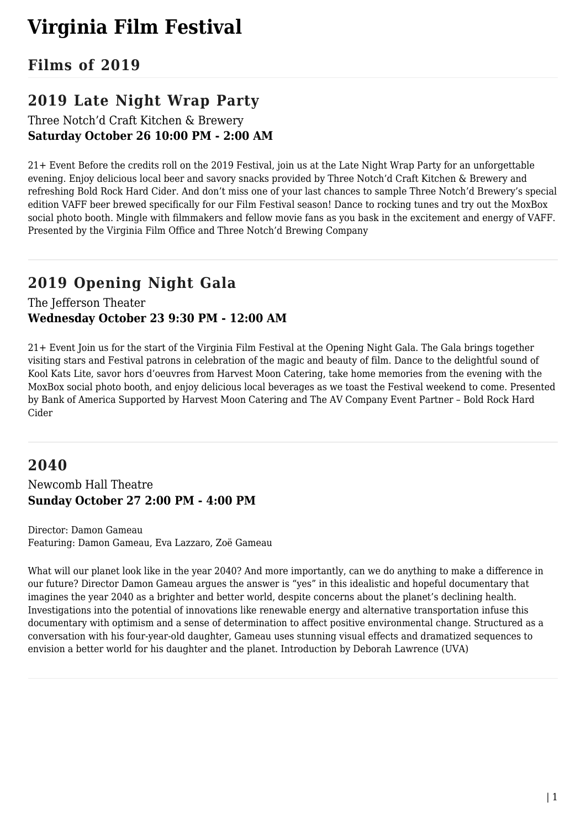# **Virginia Film Festival**

## **Films of 2019**

# **2019 Late Night Wrap Party**

Three Notch'd Craft Kitchen & Brewery **Saturday October 26 10:00 PM - 2:00 AM**

21+ Event Before the credits roll on the 2019 Festival, join us at the Late Night Wrap Party for an unforgettable evening. Enjoy delicious local beer and savory snacks provided by Three Notch'd Craft Kitchen & Brewery and refreshing Bold Rock Hard Cider. And don't miss one of your last chances to sample Three Notch'd Brewery's special edition VAFF beer brewed specifically for our Film Festival season! Dance to rocking tunes and try out the MoxBox social photo booth. Mingle with filmmakers and fellow movie fans as you bask in the excitement and energy of VAFF. Presented by the Virginia Film Office and Three Notch'd Brewing Company

## **2019 Opening Night Gala**

### The Jefferson Theater **Wednesday October 23 9:30 PM - 12:00 AM**

21+ Event Join us for the start of the Virginia Film Festival at the Opening Night Gala. The Gala brings together visiting stars and Festival patrons in celebration of the magic and beauty of film. Dance to the delightful sound of Kool Kats Lite, savor hors d'oeuvres from Harvest Moon Catering, take home memories from the evening with the MoxBox social photo booth, and enjoy delicious local beverages as we toast the Festival weekend to come. Presented by Bank of America Supported by Harvest Moon Catering and The AV Company Event Partner – Bold Rock Hard Cider

## **2040**

### Newcomb Hall Theatre **Sunday October 27 2:00 PM - 4:00 PM**

Director: Damon Gameau Featuring: Damon Gameau, Eva Lazzaro, Zoë Gameau

What will our planet look like in the year 2040? And more importantly, can we do anything to make a difference in our future? Director Damon Gameau argues the answer is "yes" in this idealistic and hopeful documentary that imagines the year 2040 as a brighter and better world, despite concerns about the planet's declining health. Investigations into the potential of innovations like renewable energy and alternative transportation infuse this documentary with optimism and a sense of determination to affect positive environmental change. Structured as a conversation with his four-year-old daughter, Gameau uses stunning visual effects and dramatized sequences to envision a better world for his daughter and the planet. Introduction by Deborah Lawrence (UVA)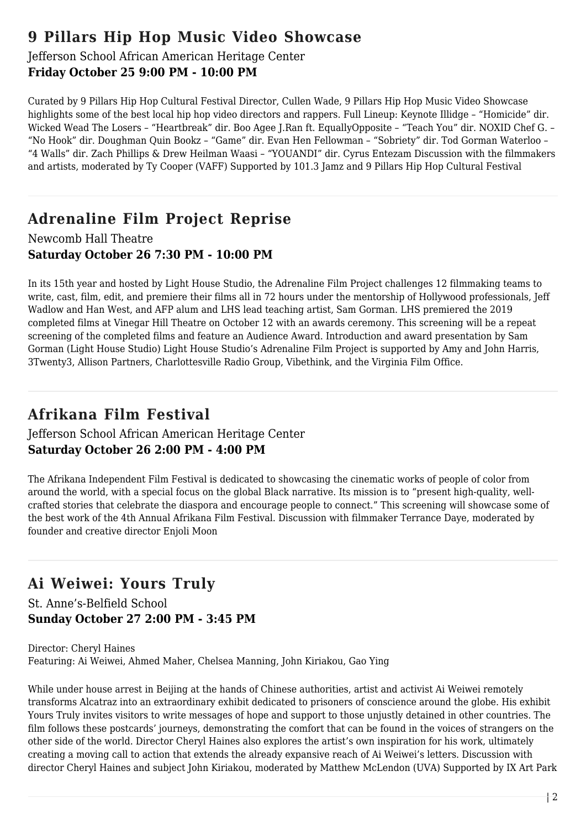## **9 Pillars Hip Hop Music Video Showcase**

### Jefferson School African American Heritage Center **Friday October 25 9:00 PM - 10:00 PM**

Curated by 9 Pillars Hip Hop Cultural Festival Director, Cullen Wade, 9 Pillars Hip Hop Music Video Showcase highlights some of the best local hip hop video directors and rappers. Full Lineup: Keynote Illidge – "Homicide" dir. Wicked Wead The Losers – "Heartbreak" dir. Boo Agee J.Ran ft. EquallyOpposite – "Teach You" dir. NOXID Chef G. – "No Hook" dir. Doughman Quin Bookz – "Game" dir. Evan Hen Fellowman – "Sobriety" dir. Tod Gorman Waterloo – "4 Walls" dir. Zach Phillips & Drew Heilman Waasi – "YOUANDI" dir. Cyrus Entezam Discussion with the filmmakers and artists, moderated by Ty Cooper (VAFF) Supported by 101.3 Jamz and 9 Pillars Hip Hop Cultural Festival

# **Adrenaline Film Project Reprise**

### Newcomb Hall Theatre **Saturday October 26 7:30 PM - 10:00 PM**

In its 15th year and hosted by Light House Studio, the Adrenaline Film Project challenges 12 filmmaking teams to write, cast, film, edit, and premiere their films all in 72 hours under the mentorship of Hollywood professionals, Jeff Wadlow and Han West, and AFP alum and LHS lead teaching artist, Sam Gorman. LHS premiered the 2019 completed films at Vinegar Hill Theatre on October 12 with an awards ceremony. This screening will be a repeat screening of the completed films and feature an Audience Award. Introduction and award presentation by Sam Gorman (Light House Studio) Light House Studio's Adrenaline Film Project is supported by Amy and John Harris, 3Twenty3, Allison Partners, Charlottesville Radio Group, Vibethink, and the Virginia Film Office.

# **Afrikana Film Festival**

### Jefferson School African American Heritage Center **Saturday October 26 2:00 PM - 4:00 PM**

The Afrikana Independent Film Festival is dedicated to showcasing the cinematic works of people of color from around the world, with a special focus on the global Black narrative. Its mission is to "present high-quality, wellcrafted stories that celebrate the diaspora and encourage people to connect." This screening will showcase some of the best work of the 4th Annual Afrikana Film Festival. Discussion with filmmaker Terrance Daye, moderated by founder and creative director Enjoli Moon

# **Ai Weiwei: Yours Truly**

St. Anne's-Belfield School **Sunday October 27 2:00 PM - 3:45 PM**

Director: Cheryl Haines Featuring: Ai Weiwei, Ahmed Maher, Chelsea Manning, John Kiriakou, Gao Ying

While under house arrest in Beijing at the hands of Chinese authorities, artist and activist Ai Weiwei remotely transforms Alcatraz into an extraordinary exhibit dedicated to prisoners of conscience around the globe. His exhibit Yours Truly invites visitors to write messages of hope and support to those unjustly detained in other countries. The film follows these postcards' journeys, demonstrating the comfort that can be found in the voices of strangers on the other side of the world. Director Cheryl Haines also explores the artist's own inspiration for his work, ultimately creating a moving call to action that extends the already expansive reach of Ai Weiwei's letters. Discussion with director Cheryl Haines and subject John Kiriakou, moderated by Matthew McLendon (UVA) Supported by IX Art Park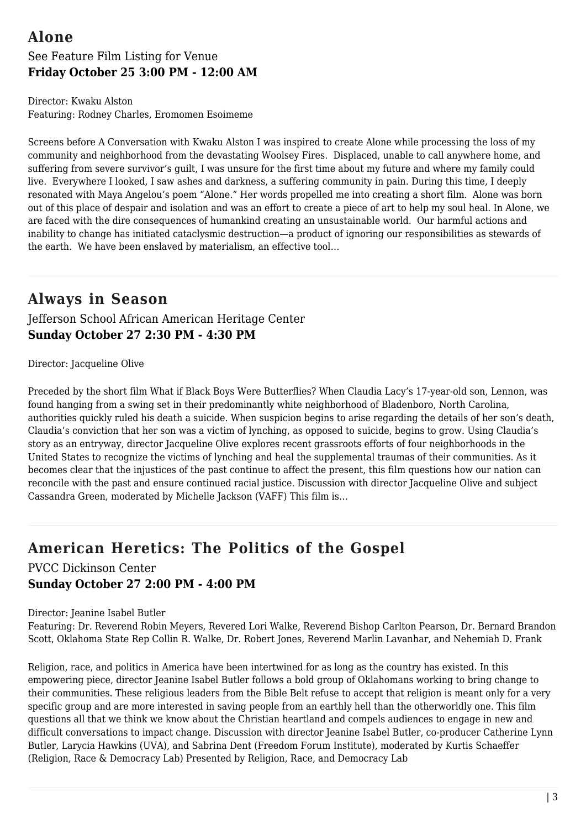# **Alone**

### See Feature Film Listing for Venue **Friday October 25 3:00 PM - 12:00 AM**

Director: Kwaku Alston Featuring: Rodney Charles, Eromomen Esoimeme

Screens before A Conversation with Kwaku Alston I was inspired to create Alone while processing the loss of my community and neighborhood from the devastating Woolsey Fires. Displaced, unable to call anywhere home, and suffering from severe survivor's guilt, I was unsure for the first time about my future and where my family could live. Everywhere I looked, I saw ashes and darkness, a suffering community in pain. During this time, I deeply resonated with Maya Angelou's poem "Alone." Her words propelled me into creating a short film. Alone was born out of this place of despair and isolation and was an effort to create a piece of art to help my soul heal. In Alone, we are faced with the dire consequences of humankind creating an unsustainable world. Our harmful actions and inability to change has initiated cataclysmic destruction—a product of ignoring our responsibilities as stewards of the earth. We have been enslaved by materialism, an effective tool…

## **Always in Season**

Jefferson School African American Heritage Center **Sunday October 27 2:30 PM - 4:30 PM**

Director: Jacqueline Olive

Preceded by the short film What if Black Boys Were Butterflies? When Claudia Lacy's 17-year-old son, Lennon, was found hanging from a swing set in their predominantly white neighborhood of Bladenboro, North Carolina, authorities quickly ruled his death a suicide. When suspicion begins to arise regarding the details of her son's death, Claudia's conviction that her son was a victim of lynching, as opposed to suicide, begins to grow. Using Claudia's story as an entryway, director Jacqueline Olive explores recent grassroots efforts of four neighborhoods in the United States to recognize the victims of lynching and heal the supplemental traumas of their communities. As it becomes clear that the injustices of the past continue to affect the present, this film questions how our nation can reconcile with the past and ensure continued racial justice. Discussion with director Jacqueline Olive and subject Cassandra Green, moderated by Michelle Jackson (VAFF) This film is…

# **American Heretics: The Politics of the Gospel**

PVCC Dickinson Center **Sunday October 27 2:00 PM - 4:00 PM**

Director: Jeanine Isabel Butler

Featuring: Dr. Reverend Robin Meyers, Revered Lori Walke, Reverend Bishop Carlton Pearson, Dr. Bernard Brandon Scott, Oklahoma State Rep Collin R. Walke, Dr. Robert Jones, Reverend Marlin Lavanhar, and Nehemiah D. Frank

Religion, race, and politics in America have been intertwined for as long as the country has existed. In this empowering piece, director Jeanine Isabel Butler follows a bold group of Oklahomans working to bring change to their communities. These religious leaders from the Bible Belt refuse to accept that religion is meant only for a very specific group and are more interested in saving people from an earthly hell than the otherworldly one. This film questions all that we think we know about the Christian heartland and compels audiences to engage in new and difficult conversations to impact change. Discussion with director Jeanine Isabel Butler, co-producer Catherine Lynn Butler, Larycia Hawkins (UVA), and Sabrina Dent (Freedom Forum Institute), moderated by Kurtis Schaeffer (Religion, Race & Democracy Lab) Presented by Religion, Race, and Democracy Lab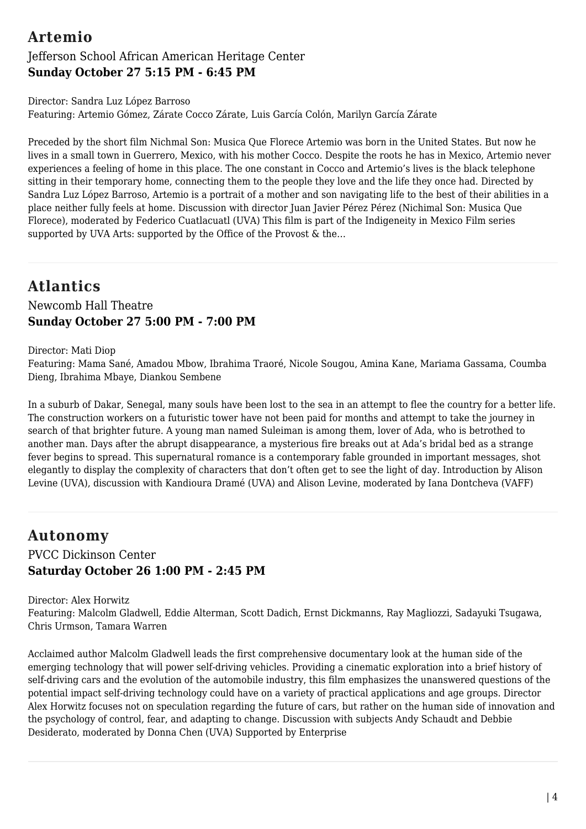## **Artemio**

### Jefferson School African American Heritage Center **Sunday October 27 5:15 PM - 6:45 PM**

Director: Sandra Luz López Barroso Featuring: Artemio Gómez, Zárate Cocco Zárate, Luis García Colón, Marilyn García Zárate

Preceded by the short film Nichmal Son: Musica Que Florece Artemio was born in the United States. But now he lives in a small town in Guerrero, Mexico, with his mother Cocco. Despite the roots he has in Mexico, Artemio never experiences a feeling of home in this place. The one constant in Cocco and Artemio's lives is the black telephone sitting in their temporary home, connecting them to the people they love and the life they once had. Directed by Sandra Luz López Barroso, Artemio is a portrait of a mother and son navigating life to the best of their abilities in a place neither fully feels at home. Discussion with director Juan Javier Pérez Pérez (Nichimal Son: Musica Que Florece), moderated by Federico Cuatlacuatl (UVA) This film is part of the Indigeneity in Mexico Film series supported by UVA Arts: supported by the Office of the Provost & the...

# **Atlantics**

### Newcomb Hall Theatre **Sunday October 27 5:00 PM - 7:00 PM**

Director: Mati Diop

Featuring: Mama Sané, Amadou Mbow, Ibrahima Traoré, Nicole Sougou, Amina Kane, Mariama Gassama, Coumba Dieng, Ibrahima Mbaye, Diankou Sembene

In a suburb of Dakar, Senegal, many souls have been lost to the sea in an attempt to flee the country for a better life. The construction workers on a futuristic tower have not been paid for months and attempt to take the journey in search of that brighter future. A young man named Suleiman is among them, lover of Ada, who is betrothed to another man. Days after the abrupt disappearance, a mysterious fire breaks out at Ada's bridal bed as a strange fever begins to spread. This supernatural romance is a contemporary fable grounded in important messages, shot elegantly to display the complexity of characters that don't often get to see the light of day. Introduction by Alison Levine (UVA), discussion with Kandioura Dramé (UVA) and Alison Levine, moderated by Iana Dontcheva (VAFF)

# **Autonomy**

### PVCC Dickinson Center **Saturday October 26 1:00 PM - 2:45 PM**

Director: Alex Horwitz Featuring: Malcolm Gladwell, Eddie Alterman, Scott Dadich, Ernst Dickmanns, Ray Magliozzi, Sadayuki Tsugawa, Chris Urmson, Tamara Warren

Acclaimed author Malcolm Gladwell leads the first comprehensive documentary look at the human side of the emerging technology that will power self-driving vehicles. Providing a cinematic exploration into a brief history of self-driving cars and the evolution of the automobile industry, this film emphasizes the unanswered questions of the potential impact self-driving technology could have on a variety of practical applications and age groups. Director Alex Horwitz focuses not on speculation regarding the future of cars, but rather on the human side of innovation and the psychology of control, fear, and adapting to change. Discussion with subjects Andy Schaudt and Debbie Desiderato, moderated by Donna Chen (UVA) Supported by Enterprise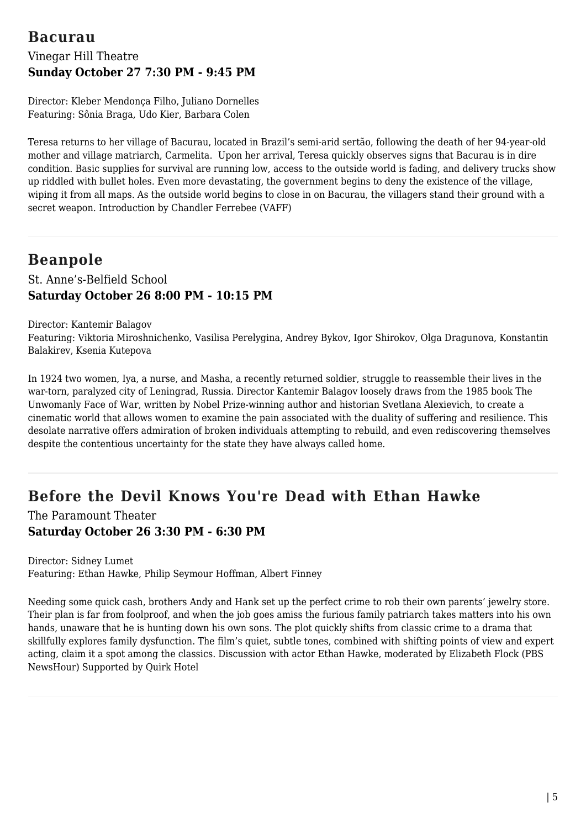## **Bacurau**

## Vinegar Hill Theatre **Sunday October 27 7:30 PM - 9:45 PM**

Director: Kleber Mendonça Filho, Juliano Dornelles Featuring: Sônia Braga, Udo Kier, Barbara Colen

Teresa returns to her village of Bacurau, located in Brazil's semi-arid sertão, following the death of her 94-year-old mother and village matriarch, Carmelita. Upon her arrival, Teresa quickly observes signs that Bacurau is in dire condition. Basic supplies for survival are running low, access to the outside world is fading, and delivery trucks show up riddled with bullet holes. Even more devastating, the government begins to deny the existence of the village, wiping it from all maps. As the outside world begins to close in on Bacurau, the villagers stand their ground with a secret weapon. Introduction by Chandler Ferrebee (VAFF)

# **Beanpole**

### St. Anne's-Belfield School **Saturday October 26 8:00 PM - 10:15 PM**

Director: Kantemir Balagov

Featuring: Viktoria Miroshnichenko, Vasilisa Perelygina, Andrey Bykov, Igor Shirokov, Olga Dragunova, Konstantin Balakirev, Ksenia Kutepova

In 1924 two women, Iya, a nurse, and Masha, a recently returned soldier, struggle to reassemble their lives in the war-torn, paralyzed city of Leningrad, Russia. Director Kantemir Balagov loosely draws from the 1985 book The Unwomanly Face of War, written by Nobel Prize-winning author and historian Svetlana Alexievich, to create a cinematic world that allows women to examine the pain associated with the duality of suffering and resilience. This desolate narrative offers admiration of broken individuals attempting to rebuild, and even rediscovering themselves despite the contentious uncertainty for the state they have always called home.

## **Before the Devil Knows You're Dead with Ethan Hawke**

The Paramount Theater **Saturday October 26 3:30 PM - 6:30 PM**

Director: Sidney Lumet Featuring: Ethan Hawke, Philip Seymour Hoffman, Albert Finney

Needing some quick cash, brothers Andy and Hank set up the perfect crime to rob their own parents' jewelry store. Their plan is far from foolproof, and when the job goes amiss the furious family patriarch takes matters into his own hands, unaware that he is hunting down his own sons. The plot quickly shifts from classic crime to a drama that skillfully explores family dysfunction. The film's quiet, subtle tones, combined with shifting points of view and expert acting, claim it a spot among the classics. Discussion with actor Ethan Hawke, moderated by Elizabeth Flock (PBS NewsHour) Supported by Quirk Hotel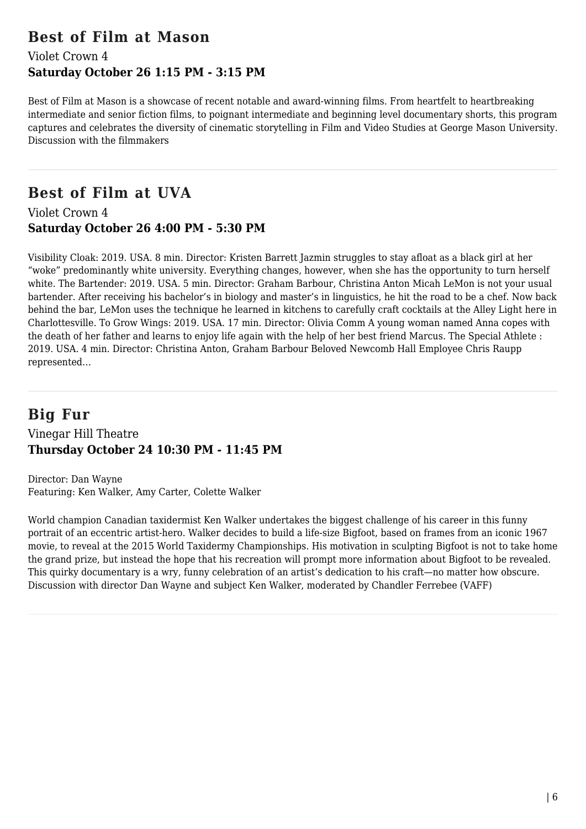## **Best of Film at Mason**

### Violet Crown 4 **Saturday October 26 1:15 PM - 3:15 PM**

Best of Film at Mason is a showcase of recent notable and award-winning films. From heartfelt to heartbreaking intermediate and senior fiction films, to poignant intermediate and beginning level documentary shorts, this program captures and celebrates the diversity of cinematic storytelling in Film and Video Studies at George Mason University. Discussion with the filmmakers

# **Best of Film at UVA**

Violet Crown 4 **Saturday October 26 4:00 PM - 5:30 PM**

Visibility Cloak: 2019. USA. 8 min. Director: Kristen Barrett Jazmin struggles to stay afloat as a black girl at her "woke" predominantly white university. Everything changes, however, when she has the opportunity to turn herself white. The Bartender: 2019. USA. 5 min. Director: Graham Barbour, Christina Anton Micah LeMon is not your usual bartender. After receiving his bachelor's in biology and master's in linguistics, he hit the road to be a chef. Now back behind the bar, LeMon uses the technique he learned in kitchens to carefully craft cocktails at the Alley Light here in Charlottesville. To Grow Wings: 2019. USA. 17 min. Director: Olivia Comm A young woman named Anna copes with the death of her father and learns to enjoy life again with the help of her best friend Marcus. The Special Athlete : 2019. USA. 4 min. Director: Christina Anton, Graham Barbour Beloved Newcomb Hall Employee Chris Raupp represented…

### **Big Fur** Vinegar Hill Theatre **Thursday October 24 10:30 PM - 11:45 PM**

Director: Dan Wayne Featuring: Ken Walker, Amy Carter, Colette Walker

World champion Canadian taxidermist Ken Walker undertakes the biggest challenge of his career in this funny portrait of an eccentric artist-hero. Walker decides to build a life-size Bigfoot, based on frames from an iconic 1967 movie, to reveal at the 2015 World Taxidermy Championships. His motivation in sculpting Bigfoot is not to take home the grand prize, but instead the hope that his recreation will prompt more information about Bigfoot to be revealed. This quirky documentary is a wry, funny celebration of an artist's dedication to his craft—no matter how obscure. Discussion with director Dan Wayne and subject Ken Walker, moderated by Chandler Ferrebee (VAFF)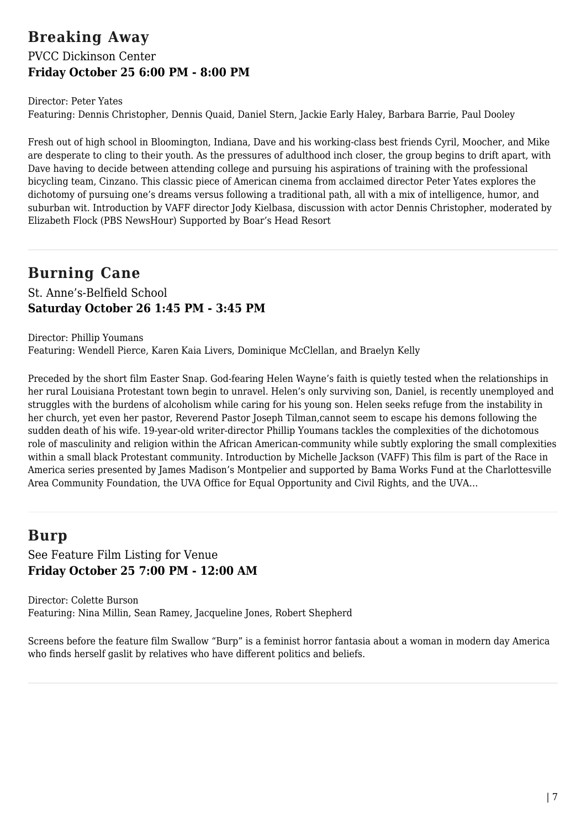## **Breaking Away** PVCC Dickinson Center **Friday October 25 6:00 PM - 8:00 PM**

Director: Peter Yates Featuring: Dennis Christopher, Dennis Quaid, Daniel Stern, Jackie Early Haley, Barbara Barrie, Paul Dooley

Fresh out of high school in Bloomington, Indiana, Dave and his working-class best friends Cyril, Moocher, and Mike are desperate to cling to their youth. As the pressures of adulthood inch closer, the group begins to drift apart, with Dave having to decide between attending college and pursuing his aspirations of training with the professional bicycling team, Cinzano. This classic piece of American cinema from acclaimed director Peter Yates explores the dichotomy of pursuing one's dreams versus following a traditional path, all with a mix of intelligence, humor, and suburban wit. Introduction by VAFF director Jody Kielbasa, discussion with actor Dennis Christopher, moderated by Elizabeth Flock (PBS NewsHour) Supported by Boar's Head Resort

## **Burning Cane**

St. Anne's-Belfield School **Saturday October 26 1:45 PM - 3:45 PM**

Director: Phillip Youmans Featuring: Wendell Pierce, Karen Kaia Livers, Dominique McClellan, and Braelyn Kelly

Preceded by the short film Easter Snap. God-fearing Helen Wayne's faith is quietly tested when the relationships in her rural Louisiana Protestant town begin to unravel. Helen's only surviving son, Daniel, is recently unemployed and struggles with the burdens of alcoholism while caring for his young son. Helen seeks refuge from the instability in her church, yet even her pastor, Reverend Pastor Joseph Tilman,cannot seem to escape his demons following the sudden death of his wife. 19-year-old writer-director Phillip Youmans tackles the complexities of the dichotomous role of masculinity and religion within the African American-community while subtly exploring the small complexities within a small black Protestant community. Introduction by Michelle Jackson (VAFF) This film is part of the Race in America series presented by James Madison's Montpelier and supported by Bama Works Fund at the Charlottesville Area Community Foundation, the UVA Office for Equal Opportunity and Civil Rights, and the UVA…

# **Burp**

See Feature Film Listing for Venue **Friday October 25 7:00 PM - 12:00 AM**

Director: Colette Burson Featuring: Nina Millin, Sean Ramey, Jacqueline Jones, Robert Shepherd

Screens before the feature film Swallow "Burp" is a feminist horror fantasia about a woman in modern day America who finds herself gaslit by relatives who have different politics and beliefs.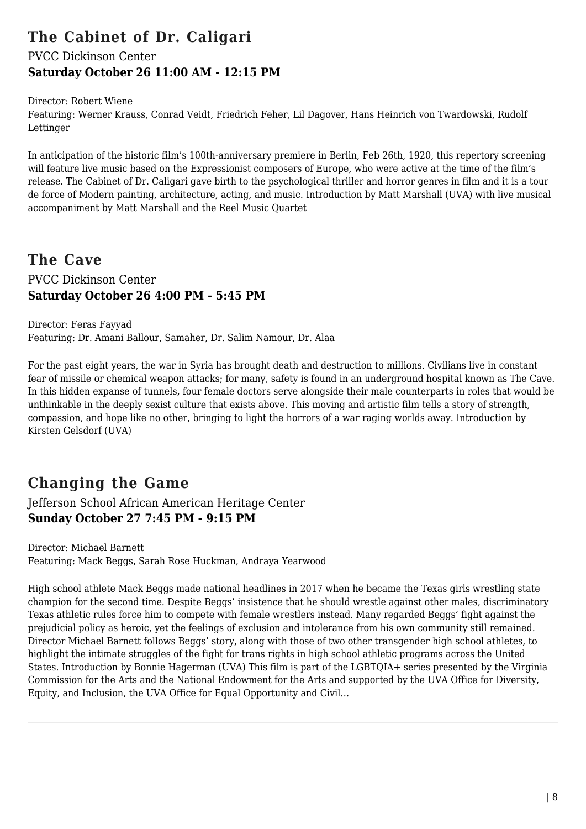## **The Cabinet of Dr. Caligari**

### PVCC Dickinson Center **Saturday October 26 11:00 AM - 12:15 PM**

Director: Robert Wiene

Featuring: Werner Krauss, Conrad Veidt, Friedrich Feher, Lil Dagover, Hans Heinrich von Twardowski, Rudolf Lettinger

In anticipation of the historic film's 100th-anniversary premiere in Berlin, Feb 26th, 1920, this repertory screening will feature live music based on the Expressionist composers of Europe, who were active at the time of the film's release. The Cabinet of Dr. Caligari gave birth to the psychological thriller and horror genres in film and it is a tour de force of Modern painting, architecture, acting, and music. Introduction by Matt Marshall (UVA) with live musical accompaniment by Matt Marshall and the Reel Music Quartet

## **The Cave** PVCC Dickinson Center **Saturday October 26 4:00 PM - 5:45 PM**

Director: Feras Fayyad Featuring: Dr. Amani Ballour, Samaher, Dr. Salim Namour, Dr. Alaa

For the past eight years, the war in Syria has brought death and destruction to millions. Civilians live in constant fear of missile or chemical weapon attacks; for many, safety is found in an underground hospital known as The Cave. In this hidden expanse of tunnels, four female doctors serve alongside their male counterparts in roles that would be unthinkable in the deeply sexist culture that exists above. This moving and artistic film tells a story of strength, compassion, and hope like no other, bringing to light the horrors of a war raging worlds away. Introduction by Kirsten Gelsdorf (UVA)

# **Changing the Game**

Jefferson School African American Heritage Center **Sunday October 27 7:45 PM - 9:15 PM**

Director: Michael Barnett Featuring: Mack Beggs, Sarah Rose Huckman, Andraya Yearwood

High school athlete Mack Beggs made national headlines in 2017 when he became the Texas girls wrestling state champion for the second time. Despite Beggs' insistence that he should wrestle against other males, discriminatory Texas athletic rules force him to compete with female wrestlers instead. Many regarded Beggs' fight against the prejudicial policy as heroic, yet the feelings of exclusion and intolerance from his own community still remained. Director Michael Barnett follows Beggs' story, along with those of two other transgender high school athletes, to highlight the intimate struggles of the fight for trans rights in high school athletic programs across the United States. Introduction by Bonnie Hagerman (UVA) This film is part of the LGBTQIA+ series presented by the Virginia Commission for the Arts and the National Endowment for the Arts and supported by the UVA Office for Diversity, Equity, and Inclusion, the UVA Office for Equal Opportunity and Civil…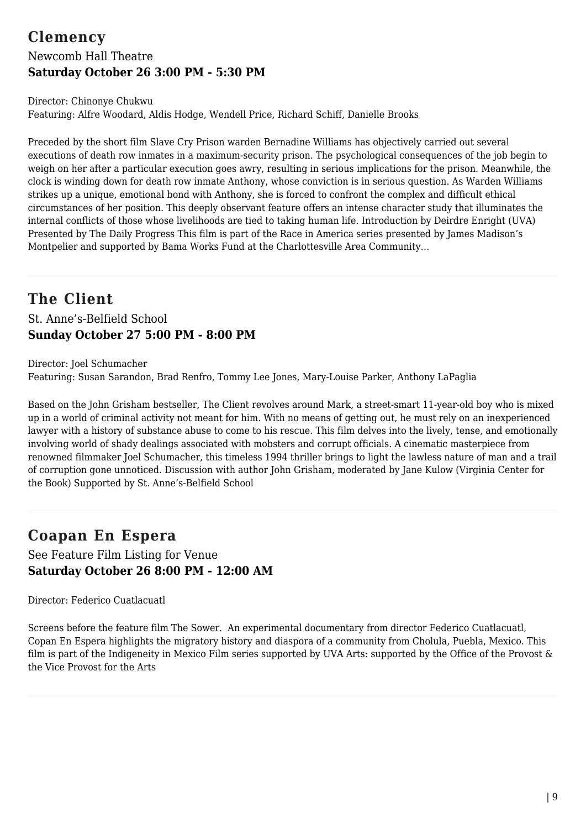## **Clemency** Newcomb Hall Theatre **Saturday October 26 3:00 PM - 5:30 PM**

Director: Chinonye Chukwu Featuring: Alfre Woodard, Aldis Hodge, Wendell Price, Richard Schiff, Danielle Brooks

Preceded by the short film Slave Cry Prison warden Bernadine Williams has objectively carried out several executions of death row inmates in a maximum-security prison. The psychological consequences of the job begin to weigh on her after a particular execution goes awry, resulting in serious implications for the prison. Meanwhile, the clock is winding down for death row inmate Anthony, whose conviction is in serious question. As Warden Williams strikes up a unique, emotional bond with Anthony, she is forced to confront the complex and difficult ethical circumstances of her position. This deeply observant feature offers an intense character study that illuminates the internal conflicts of those whose livelihoods are tied to taking human life. Introduction by Deirdre Enright (UVA) Presented by The Daily Progress This film is part of the Race in America series presented by James Madison's Montpelier and supported by Bama Works Fund at the Charlottesville Area Community…

## **The Client** St. Anne's-Belfield School **Sunday October 27 5:00 PM - 8:00 PM**

Director: Joel Schumacher Featuring: Susan Sarandon, Brad Renfro, Tommy Lee Jones, Mary-Louise Parker, Anthony LaPaglia

Based on the John Grisham bestseller, The Client revolves around Mark, a street-smart 11-year-old boy who is mixed up in a world of criminal activity not meant for him. With no means of getting out, he must rely on an inexperienced lawyer with a history of substance abuse to come to his rescue. This film delves into the lively, tense, and emotionally involving world of shady dealings associated with mobsters and corrupt officials. A cinematic masterpiece from renowned filmmaker Joel Schumacher, this timeless 1994 thriller brings to light the lawless nature of man and a trail of corruption gone unnoticed. Discussion with author John Grisham, moderated by Jane Kulow (Virginia Center for the Book) Supported by St. Anne's-Belfield School

# **Coapan En Espera**

See Feature Film Listing for Venue **Saturday October 26 8:00 PM - 12:00 AM**

Director: Federico Cuatlacuatl

Screens before the feature film The Sower. An experimental documentary from director Federico Cuatlacuatl, Copan En Espera highlights the migratory history and diaspora of a community from Cholula, Puebla, Mexico. This film is part of the Indigeneity in Mexico Film series supported by UVA Arts: supported by the Office of the Provost & the Vice Provost for the Arts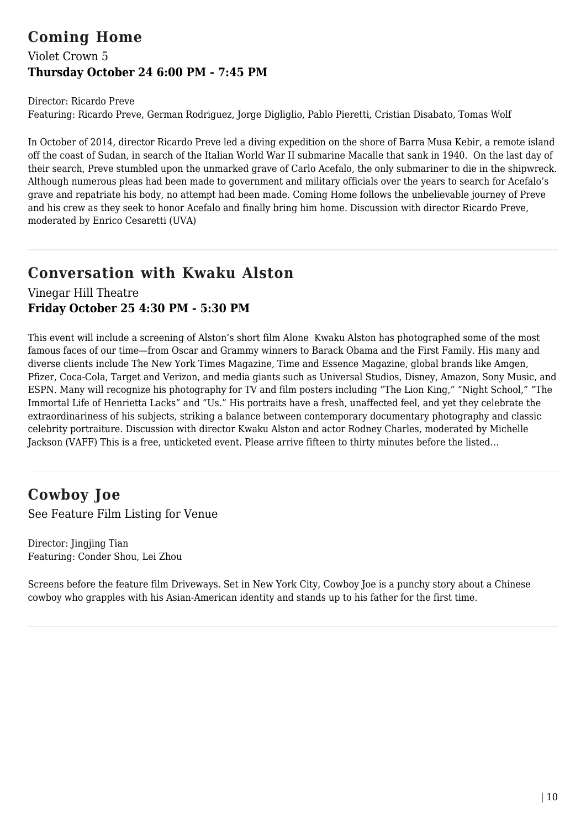## **Coming Home**

## Violet Crown 5 **Thursday October 24 6:00 PM - 7:45 PM**

Director: Ricardo Preve Featuring: Ricardo Preve, German Rodriguez, Jorge Digliglio, Pablo Pieretti, Cristian Disabato, Tomas Wolf

In October of 2014, director Ricardo Preve led a diving expedition on the shore of Barra Musa Kebir, a remote island off the coast of Sudan, in search of the Italian World War II submarine Macalle that sank in 1940. On the last day of their search, Preve stumbled upon the unmarked grave of Carlo Acefalo, the only submariner to die in the shipwreck. Although numerous pleas had been made to government and military officials over the years to search for Acefalo's grave and repatriate his body, no attempt had been made. Coming Home follows the unbelievable journey of Preve and his crew as they seek to honor Acefalo and finally bring him home. Discussion with director Ricardo Preve, moderated by Enrico Cesaretti (UVA)

## **Conversation with Kwaku Alston**

Vinegar Hill Theatre **Friday October 25 4:30 PM - 5:30 PM**

This event will include a screening of Alston's short film Alone Kwaku Alston has photographed some of the most famous faces of our time—from Oscar and Grammy winners to Barack Obama and the First Family. His many and diverse clients include The New York Times Magazine, Time and Essence Magazine, global brands like Amgen, Pfizer, Coca-Cola, Target and Verizon, and media giants such as Universal Studios, Disney, Amazon, Sony Music, and ESPN. Many will recognize his photography for TV and film posters including "The Lion King," "Night School," "The Immortal Life of Henrietta Lacks" and "Us." His portraits have a fresh, unaffected feel, and yet they celebrate the extraordinariness of his subjects, striking a balance between contemporary documentary photography and classic celebrity portraiture. Discussion with director Kwaku Alston and actor Rodney Charles, moderated by Michelle Jackson (VAFF) This is a free, unticketed event. Please arrive fifteen to thirty minutes before the listed…

# **Cowboy Joe**

See Feature Film Listing for Venue

Director: Jingjing Tian Featuring: Conder Shou, Lei Zhou

Screens before the feature film Driveways. Set in New York City, Cowboy Joe is a punchy story about a Chinese cowboy who grapples with his Asian-American identity and stands up to his father for the first time.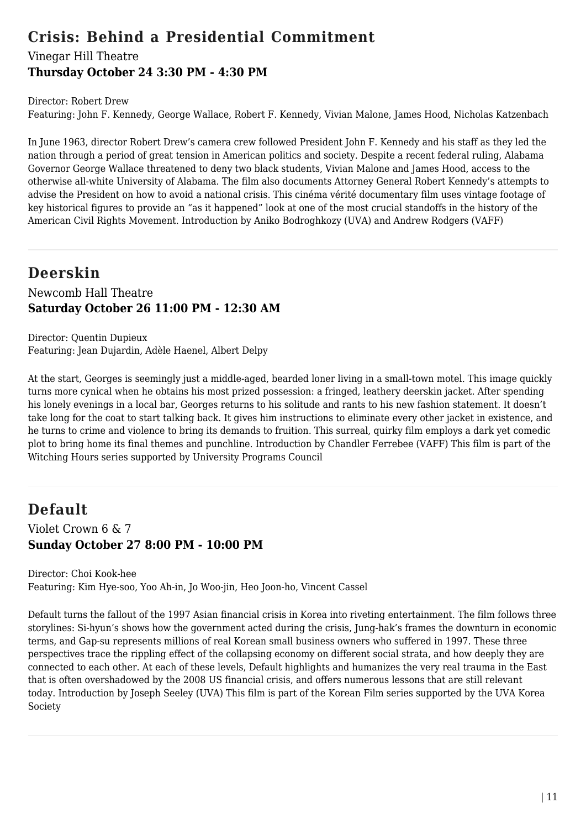## **Crisis: Behind a Presidential Commitment**

### Vinegar Hill Theatre **Thursday October 24 3:30 PM - 4:30 PM**

Director: Robert Drew

Featuring: John F. Kennedy, George Wallace, Robert F. Kennedy, Vivian Malone, James Hood, Nicholas Katzenbach

In June 1963, director Robert Drew's camera crew followed President John F. Kennedy and his staff as they led the nation through a period of great tension in American politics and society. Despite a recent federal ruling, Alabama Governor George Wallace threatened to deny two black students, Vivian Malone and James Hood, access to the otherwise all-white University of Alabama. The film also documents Attorney General Robert Kennedy's attempts to advise the President on how to avoid a national crisis. This cinéma vérité documentary film uses vintage footage of key historical figures to provide an "as it happened" look at one of the most crucial standoffs in the history of the American Civil Rights Movement. Introduction by Aniko Bodroghkozy (UVA) and Andrew Rodgers (VAFF)

## **Deerskin**

Newcomb Hall Theatre **Saturday October 26 11:00 PM - 12:30 AM**

Director: Quentin Dupieux Featuring: Jean Dujardin, Adèle Haenel, Albert Delpy

At the start, Georges is seemingly just a middle-aged, bearded loner living in a small-town motel. This image quickly turns more cynical when he obtains his most prized possession: a fringed, leathery deerskin jacket. After spending his lonely evenings in a local bar, Georges returns to his solitude and rants to his new fashion statement. It doesn't take long for the coat to start talking back. It gives him instructions to eliminate every other jacket in existence, and he turns to crime and violence to bring its demands to fruition. This surreal, quirky film employs a dark yet comedic plot to bring home its final themes and punchline. Introduction by Chandler Ferrebee (VAFF) This film is part of the Witching Hours series supported by University Programs Council

## **Default**

Violet Crown 6 & 7 **Sunday October 27 8:00 PM - 10:00 PM**

Director: Choi Kook-hee Featuring: Kim Hye-soo, Yoo Ah-in, Jo Woo-jin, Heo Joon-ho, Vincent Cassel

Default turns the fallout of the 1997 Asian financial crisis in Korea into riveting entertainment. The film follows three storylines: Si-hyun's shows how the government acted during the crisis, Jung-hak's frames the downturn in economic terms, and Gap-su represents millions of real Korean small business owners who suffered in 1997. These three perspectives trace the rippling effect of the collapsing economy on different social strata, and how deeply they are connected to each other. At each of these levels, Default highlights and humanizes the very real trauma in the East that is often overshadowed by the 2008 US financial crisis, and offers numerous lessons that are still relevant today. Introduction by Joseph Seeley (UVA) This film is part of the Korean Film series supported by the UVA Korea Society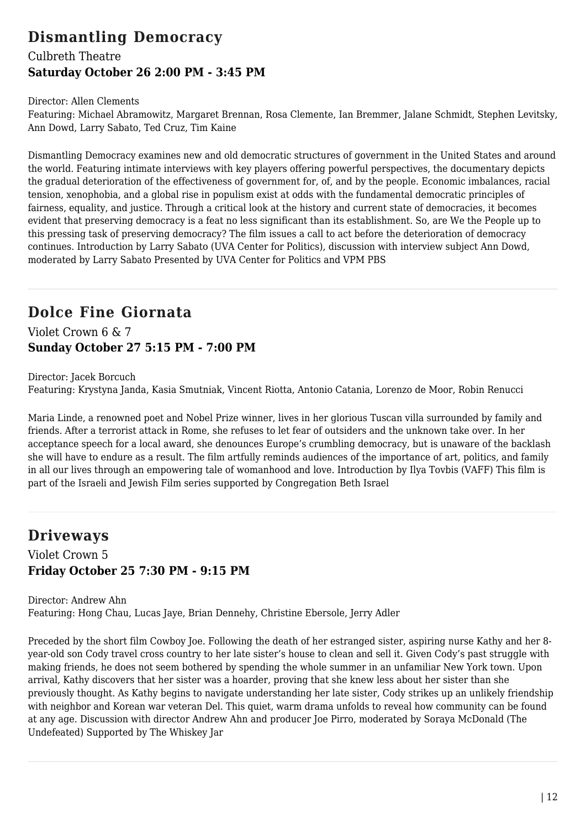# **Dismantling Democracy**

### Culbreth Theatre **Saturday October 26 2:00 PM - 3:45 PM**

#### Director: Allen Clements

Featuring: Michael Abramowitz, Margaret Brennan, Rosa Clemente, Ian Bremmer, Jalane Schmidt, Stephen Levitsky, Ann Dowd, Larry Sabato, Ted Cruz, Tim Kaine

Dismantling Democracy examines new and old democratic structures of government in the United States and around the world. Featuring intimate interviews with key players offering powerful perspectives, the documentary depicts the gradual deterioration of the effectiveness of government for, of, and by the people. Economic imbalances, racial tension, xenophobia, and a global rise in populism exist at odds with the fundamental democratic principles of fairness, equality, and justice. Through a critical look at the history and current state of democracies, it becomes evident that preserving democracy is a feat no less significant than its establishment. So, are We the People up to this pressing task of preserving democracy? The film issues a call to act before the deterioration of democracy continues. Introduction by Larry Sabato (UVA Center for Politics), discussion with interview subject Ann Dowd, moderated by Larry Sabato Presented by UVA Center for Politics and VPM PBS

## **Dolce Fine Giornata**

Violet Crown 6 & 7 **Sunday October 27 5:15 PM - 7:00 PM**

Director: Jacek Borcuch Featuring: Krystyna Janda, Kasia Smutniak, Vincent Riotta, Antonio Catania, Lorenzo de Moor, Robin Renucci

Maria Linde, a renowned poet and Nobel Prize winner, lives in her glorious Tuscan villa surrounded by family and friends. After a terrorist attack in Rome, she refuses to let fear of outsiders and the unknown take over. In her acceptance speech for a local award, she denounces Europe's crumbling democracy, but is unaware of the backlash she will have to endure as a result. The film artfully reminds audiences of the importance of art, politics, and family in all our lives through an empowering tale of womanhood and love. Introduction by Ilya Tovbis (VAFF) This film is part of the Israeli and Jewish Film series supported by Congregation Beth Israel

## **Driveways**

### Violet Crown 5 **Friday October 25 7:30 PM - 9:15 PM**

Director: Andrew Ahn Featuring: Hong Chau, Lucas Jaye, Brian Dennehy, Christine Ebersole, Jerry Adler

Preceded by the short film Cowboy Joe. Following the death of her estranged sister, aspiring nurse Kathy and her 8 year-old son Cody travel cross country to her late sister's house to clean and sell it. Given Cody's past struggle with making friends, he does not seem bothered by spending the whole summer in an unfamiliar New York town. Upon arrival, Kathy discovers that her sister was a hoarder, proving that she knew less about her sister than she previously thought. As Kathy begins to navigate understanding her late sister, Cody strikes up an unlikely friendship with neighbor and Korean war veteran Del. This quiet, warm drama unfolds to reveal how community can be found at any age. Discussion with director Andrew Ahn and producer Joe Pirro, moderated by Soraya McDonald (The Undefeated) Supported by The Whiskey Jar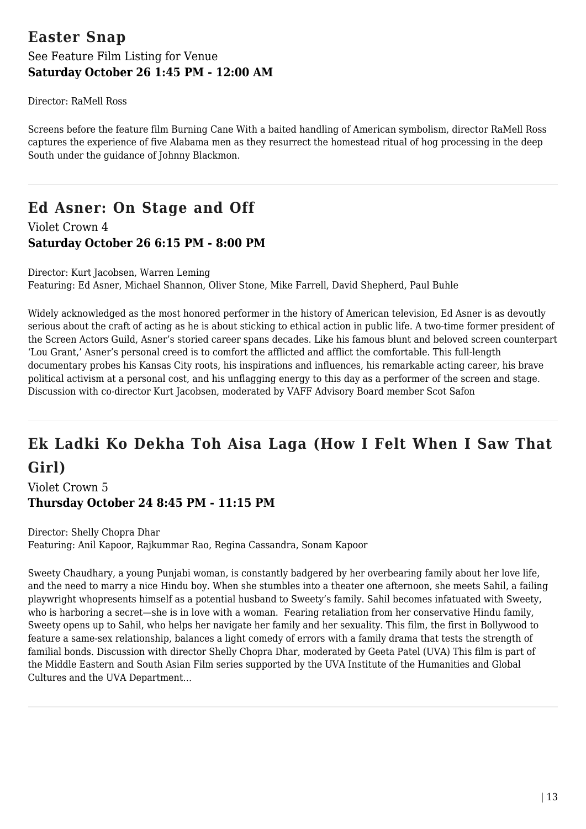## **Easter Snap** See Feature Film Listing for Venue **Saturday October 26 1:45 PM - 12:00 AM**

Director: RaMell Ross

Screens before the feature film Burning Cane With a baited handling of American symbolism, director RaMell Ross captures the experience of five Alabama men as they resurrect the homestead ritual of hog processing in the deep South under the guidance of Johnny Blackmon.

# **Ed Asner: On Stage and Off**

Violet Crown 4 **Saturday October 26 6:15 PM - 8:00 PM**

Director: Kurt Jacobsen, Warren Leming Featuring: Ed Asner, Michael Shannon, Oliver Stone, Mike Farrell, David Shepherd, Paul Buhle

Widely acknowledged as the most honored performer in the history of American television, Ed Asner is as devoutly serious about the craft of acting as he is about sticking to ethical action in public life. A two-time former president of the Screen Actors Guild, Asner's storied career spans decades. Like his famous blunt and beloved screen counterpart 'Lou Grant,' Asner's personal creed is to comfort the afflicted and afflict the comfortable. This full-length documentary probes his Kansas City roots, his inspirations and influences, his remarkable acting career, his brave political activism at a personal cost, and his unflagging energy to this day as a performer of the screen and stage. Discussion with co-director Kurt Jacobsen, moderated by VAFF Advisory Board member Scot Safon

# **Ek Ladki Ko Dekha Toh Aisa Laga (How I Felt When I Saw That Girl)**

Violet Crown 5 **Thursday October 24 8:45 PM - 11:15 PM**

Director: Shelly Chopra Dhar Featuring: Anil Kapoor, Rajkummar Rao, Regina Cassandra, Sonam Kapoor

Sweety Chaudhary, a young Punjabi woman, is constantly badgered by her overbearing family about her love life, and the need to marry a nice Hindu boy. When she stumbles into a theater one afternoon, she meets Sahil, a failing playwright whopresents himself as a potential husband to Sweety's family. Sahil becomes infatuated with Sweety, who is harboring a secret—she is in love with a woman. Fearing retaliation from her conservative Hindu family, Sweety opens up to Sahil, who helps her navigate her family and her sexuality. This film, the first in Bollywood to feature a same-sex relationship, balances a light comedy of errors with a family drama that tests the strength of familial bonds. Discussion with director Shelly Chopra Dhar, moderated by Geeta Patel (UVA) This film is part of the Middle Eastern and South Asian Film series supported by the UVA Institute of the Humanities and Global Cultures and the UVA Department…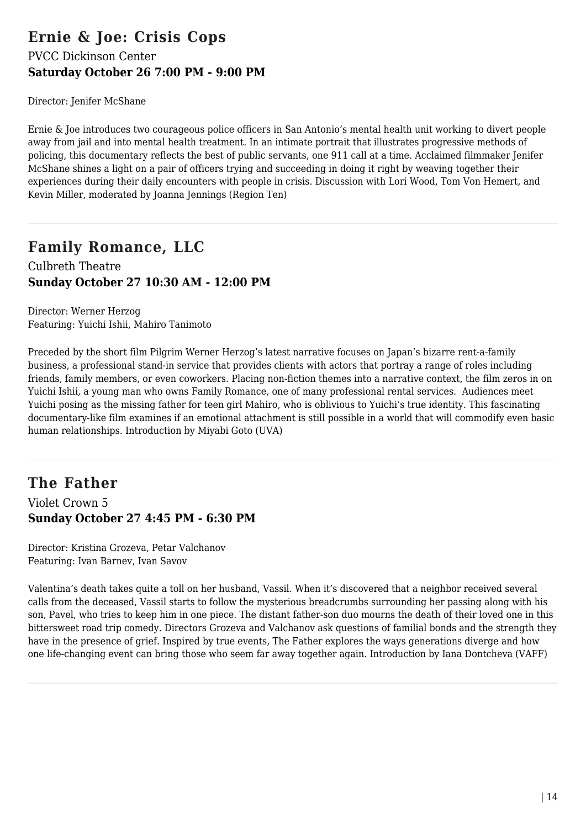## **Ernie & Joe: Crisis Cops** PVCC Dickinson Center **Saturday October 26 7:00 PM - 9:00 PM**

Director: Jenifer McShane

Ernie & Joe introduces two courageous police officers in San Antonio's mental health unit working to divert people away from jail and into mental health treatment. In an intimate portrait that illustrates progressive methods of policing, this documentary reflects the best of public servants, one 911 call at a time. Acclaimed filmmaker Jenifer McShane shines a light on a pair of officers trying and succeeding in doing it right by weaving together their experiences during their daily encounters with people in crisis. Discussion with Lori Wood, Tom Von Hemert, and Kevin Miller, moderated by Joanna Jennings (Region Ten)

# **Family Romance, LLC**

Culbreth Theatre **Sunday October 27 10:30 AM - 12:00 PM**

Director: Werner Herzog Featuring: Yuichi Ishii, Mahiro Tanimoto

Preceded by the short film Pilgrim Werner Herzog's latest narrative focuses on Japan's bizarre rent-a-family business, a professional stand-in service that provides clients with actors that portray a range of roles including friends, family members, or even coworkers. Placing non-fiction themes into a narrative context, the film zeros in on Yuichi Ishii, a young man who owns Family Romance, one of many professional rental services. Audiences meet Yuichi posing as the missing father for teen girl Mahiro, who is oblivious to Yuichi's true identity. This fascinating documentary-like film examines if an emotional attachment is still possible in a world that will commodify even basic human relationships. Introduction by Miyabi Goto (UVA)

### **The Father** Violet Crown 5 **Sunday October 27 4:45 PM - 6:30 PM**

Director: Kristina Grozeva, Petar Valchanov Featuring: Ivan Barnev, Ivan Savov

Valentina's death takes quite a toll on her husband, Vassil. When it's discovered that a neighbor received several calls from the deceased, Vassil starts to follow the mysterious breadcrumbs surrounding her passing along with his son, Pavel, who tries to keep him in one piece. The distant father-son duo mourns the death of their loved one in this bittersweet road trip comedy. Directors Grozeva and Valchanov ask questions of familial bonds and the strength they have in the presence of grief. Inspired by true events, The Father explores the ways generations diverge and how one life-changing event can bring those who seem far away together again. Introduction by Iana Dontcheva (VAFF)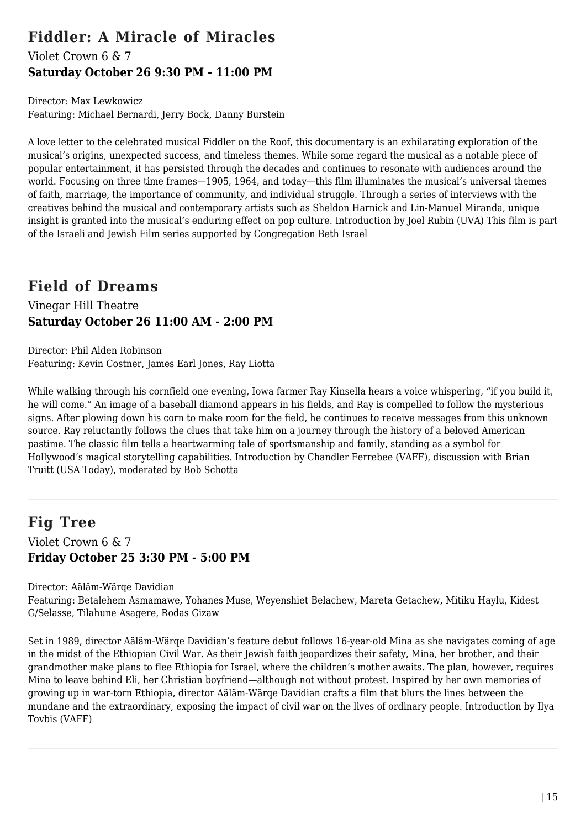## **Fiddler: A Miracle of Miracles**

### Violet Crown 6 & 7 **Saturday October 26 9:30 PM - 11:00 PM**

Director: Max Lewkowicz Featuring: Michael Bernardi, Jerry Bock, Danny Burstein

A love letter to the celebrated musical Fiddler on the Roof, this documentary is an exhilarating exploration of the musical's origins, unexpected success, and timeless themes. While some regard the musical as a notable piece of popular entertainment, it has persisted through the decades and continues to resonate with audiences around the world. Focusing on three time frames—1905, 1964, and today—this film illuminates the musical's universal themes of faith, marriage, the importance of community, and individual struggle. Through a series of interviews with the creatives behind the musical and contemporary artists such as Sheldon Harnick and Lin-Manuel Miranda, unique insight is granted into the musical's enduring effect on pop culture. Introduction by Joel Rubin (UVA) This film is part of the Israeli and Jewish Film series supported by Congregation Beth Israel

## **Field of Dreams**

Vinegar Hill Theatre **Saturday October 26 11:00 AM - 2:00 PM**

Director: Phil Alden Robinson Featuring: Kevin Costner, James Earl Jones, Ray Liotta

While walking through his cornfield one evening, Iowa farmer Ray Kinsella hears a voice whispering, "if you build it, he will come." An image of a baseball diamond appears in his fields, and Ray is compelled to follow the mysterious signs. After plowing down his corn to make room for the field, he continues to receive messages from this unknown source. Ray reluctantly follows the clues that take him on a journey through the history of a beloved American pastime. The classic film tells a heartwarming tale of sportsmanship and family, standing as a symbol for Hollywood's magical storytelling capabilities. Introduction by Chandler Ferrebee (VAFF), discussion with Brian Truitt (USA Today), moderated by Bob Schotta

## **Fig Tree**

Violet Crown 6 & 7 **Friday October 25 3:30 PM - 5:00 PM**

Director: Aäläm-Wärqe Davidian Featuring: Betalehem Asmamawe, Yohanes Muse, Weyenshiet Belachew, Mareta Getachew, Mitiku Haylu, Kidest G/Selasse, Tilahune Asagere, Rodas Gizaw

Set in 1989, director Aäläm-Wärqe Davidian's feature debut follows 16-year-old Mina as she navigates coming of age in the midst of the Ethiopian Civil War. As their Jewish faith jeopardizes their safety, Mina, her brother, and their grandmother make plans to flee Ethiopia for Israel, where the children's mother awaits. The plan, however, requires Mina to leave behind Eli, her Christian boyfriend—although not without protest. Inspired by her own memories of growing up in war-torn Ethiopia, director Aäläm-Wärqe Davidian crafts a film that blurs the lines between the mundane and the extraordinary, exposing the impact of civil war on the lives of ordinary people. Introduction by Ilya Tovbis (VAFF)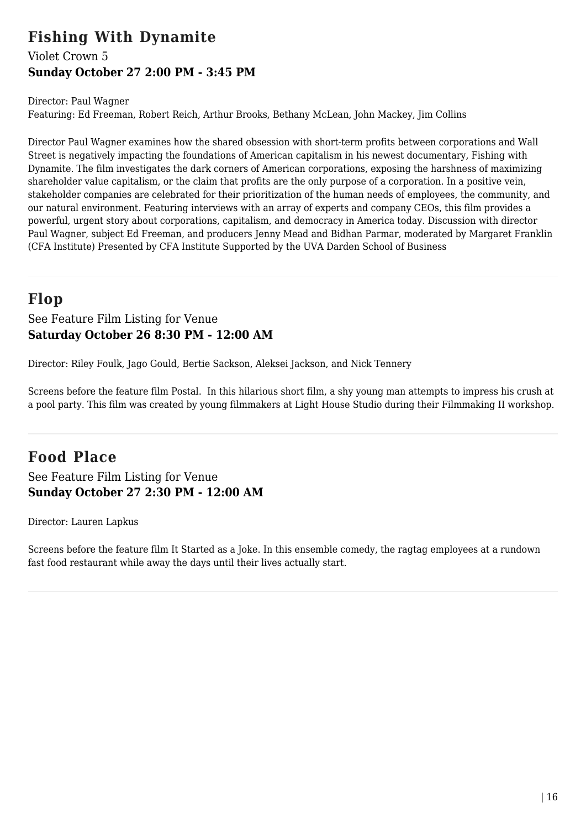## **Fishing With Dynamite**

### Violet Crown 5 **Sunday October 27 2:00 PM - 3:45 PM**

Director: Paul Wagner

Featuring: Ed Freeman, Robert Reich, Arthur Brooks, Bethany McLean, John Mackey, Jim Collins

Director Paul Wagner examines how the shared obsession with short-term profits between corporations and Wall Street is negatively impacting the foundations of American capitalism in his newest documentary, Fishing with Dynamite. The film investigates the dark corners of American corporations, exposing the harshness of maximizing shareholder value capitalism, or the claim that profits are the only purpose of a corporation. In a positive vein, stakeholder companies are celebrated for their prioritization of the human needs of employees, the community, and our natural environment. Featuring interviews with an array of experts and company CEOs, this film provides a powerful, urgent story about corporations, capitalism, and democracy in America today. Discussion with director Paul Wagner, subject Ed Freeman, and producers Jenny Mead and Bidhan Parmar, moderated by Margaret Franklin (CFA Institute) Presented by CFA Institute Supported by the UVA Darden School of Business

# **Flop**

See Feature Film Listing for Venue **Saturday October 26 8:30 PM - 12:00 AM**

Director: Riley Foulk, Jago Gould, Bertie Sackson, Aleksei Jackson, and Nick Tennery

Screens before the feature film Postal. In this hilarious short film, a shy young man attempts to impress his crush at a pool party. This film was created by young filmmakers at Light House Studio during their Filmmaking II workshop.

# **Food Place**

See Feature Film Listing for Venue **Sunday October 27 2:30 PM - 12:00 AM**

Director: Lauren Lapkus

Screens before the feature film It Started as a Joke. In this ensemble comedy, the ragtag employees at a rundown fast food restaurant while away the days until their lives actually start.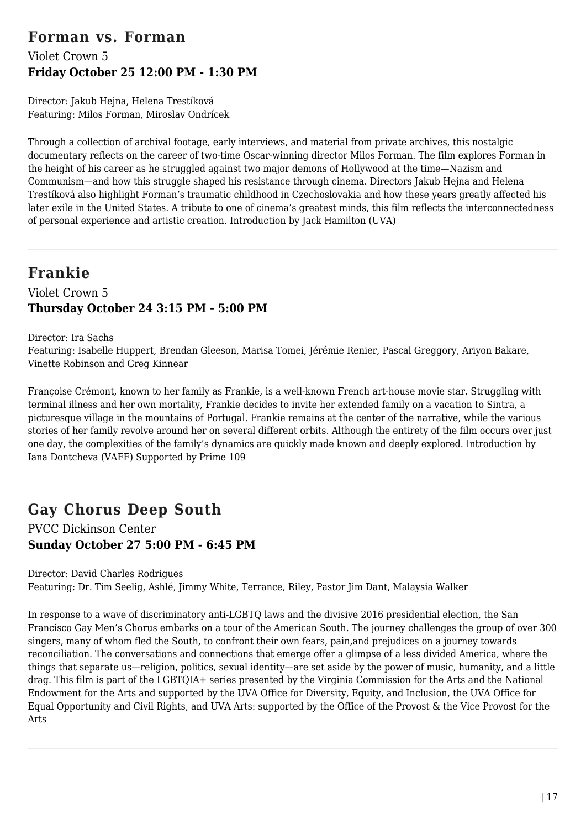## **Forman vs. Forman**

### Violet Crown 5 **Friday October 25 12:00 PM - 1:30 PM**

Director: Jakub Hejna, Helena Trestíková Featuring: Milos Forman, Miroslav Ondrícek

Through a collection of archival footage, early interviews, and material from private archives, this nostalgic documentary reflects on the career of two-time Oscar-winning director Milos Forman. The film explores Forman in the height of his career as he struggled against two major demons of Hollywood at the time—Nazism and Communism—and how this struggle shaped his resistance through cinema. Directors Jakub Hejna and Helena Trestíková also highlight Forman's traumatic childhood in Czechoslovakia and how these years greatly affected his later exile in the United States. A tribute to one of cinema's greatest minds, this film reflects the interconnectedness of personal experience and artistic creation. Introduction by Jack Hamilton (UVA)

## **Frankie**

### Violet Crown 5 **Thursday October 24 3:15 PM - 5:00 PM**

Director: Ira Sachs

Featuring: Isabelle Huppert, Brendan Gleeson, Marisa Tomei, Jérémie Renier, Pascal Greggory, Ariyon Bakare, Vinette Robinson and Greg Kinnear

Françoise Crémont, known to her family as Frankie, is a well-known French art-house movie star. Struggling with terminal illness and her own mortality, Frankie decides to invite her extended family on a vacation to Sintra, a picturesque village in the mountains of Portugal. Frankie remains at the center of the narrative, while the various stories of her family revolve around her on several different orbits. Although the entirety of the film occurs over just one day, the complexities of the family's dynamics are quickly made known and deeply explored. Introduction by Iana Dontcheva (VAFF) Supported by Prime 109

# **Gay Chorus Deep South**

PVCC Dickinson Center **Sunday October 27 5:00 PM - 6:45 PM**

Director: David Charles Rodrigues

Featuring: Dr. Tim Seelig, Ashlé, Jimmy White, Terrance, Riley, Pastor Jim Dant, Malaysia Walker

In response to a wave of discriminatory anti-LGBTQ laws and the divisive 2016 presidential election, the San Francisco Gay Men's Chorus embarks on a tour of the American South. The journey challenges the group of over 300 singers, many of whom fled the South, to confront their own fears, pain,and prejudices on a journey towards reconciliation. The conversations and connections that emerge offer a glimpse of a less divided America, where the things that separate us—religion, politics, sexual identity—are set aside by the power of music, humanity, and a little drag. This film is part of the LGBTQIA+ series presented by the Virginia Commission for the Arts and the National Endowment for the Arts and supported by the UVA Office for Diversity, Equity, and Inclusion, the UVA Office for Equal Opportunity and Civil Rights, and UVA Arts: supported by the Office of the Provost & the Vice Provost for the Arts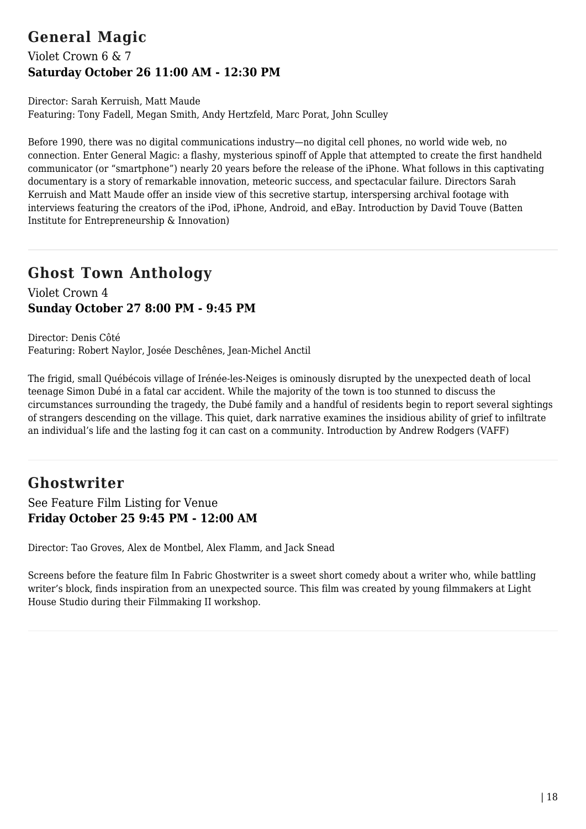# **General Magic**

### Violet Crown 6 & 7 **Saturday October 26 11:00 AM - 12:30 PM**

Director: Sarah Kerruish, Matt Maude Featuring: Tony Fadell, Megan Smith, Andy Hertzfeld, Marc Porat, John Sculley

Before 1990, there was no digital communications industry—no digital cell phones, no world wide web, no connection. Enter General Magic: a flashy, mysterious spinoff of Apple that attempted to create the first handheld communicator (or "smartphone") nearly 20 years before the release of the iPhone. What follows in this captivating documentary is a story of remarkable innovation, meteoric success, and spectacular failure. Directors Sarah Kerruish and Matt Maude offer an inside view of this secretive startup, interspersing archival footage with interviews featuring the creators of the iPod, iPhone, Android, and eBay. Introduction by David Touve (Batten Institute for Entrepreneurship & Innovation)

## **Ghost Town Anthology**

Violet Crown 4 **Sunday October 27 8:00 PM - 9:45 PM**

Director: Denis Côté Featuring: Robert Naylor, Josée Deschênes, Jean-Michel Anctil

The frigid, small Québécois village of Irénée-les-Neiges is ominously disrupted by the unexpected death of local teenage Simon Dubé in a fatal car accident. While the majority of the town is too stunned to discuss the circumstances surrounding the tragedy, the Dubé family and a handful of residents begin to report several sightings of strangers descending on the village. This quiet, dark narrative examines the insidious ability of grief to infiltrate an individual's life and the lasting fog it can cast on a community. Introduction by Andrew Rodgers (VAFF)

## **Ghostwriter**

See Feature Film Listing for Venue **Friday October 25 9:45 PM - 12:00 AM**

Director: Tao Groves, Alex de Montbel, Alex Flamm, and Jack Snead

Screens before the feature film In Fabric Ghostwriter is a sweet short comedy about a writer who, while battling writer's block, finds inspiration from an unexpected source. This film was created by young filmmakers at Light House Studio during their Filmmaking II workshop.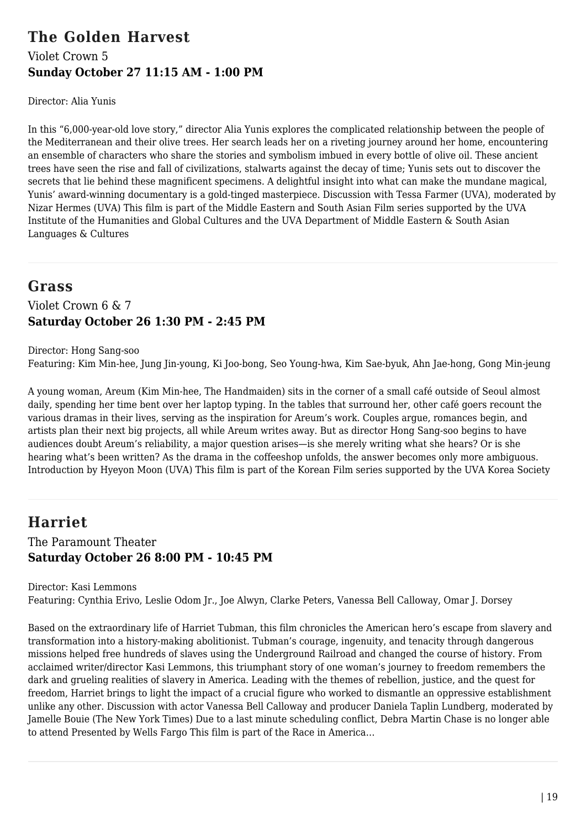## **The Golden Harvest** Violet Crown 5 **Sunday October 27 11:15 AM - 1:00 PM**

Director: Alia Yunis

In this "6,000-year-old love story," director Alia Yunis explores the complicated relationship between the people of the Mediterranean and their olive trees. Her search leads her on a riveting journey around her home, encountering an ensemble of characters who share the stories and symbolism imbued in every bottle of olive oil. These ancient trees have seen the rise and fall of civilizations, stalwarts against the decay of time; Yunis sets out to discover the secrets that lie behind these magnificent specimens. A delightful insight into what can make the mundane magical, Yunis' award-winning documentary is a gold-tinged masterpiece. Discussion with Tessa Farmer (UVA), moderated by Nizar Hermes (UVA) This film is part of the Middle Eastern and South Asian Film series supported by the UVA Institute of the Humanities and Global Cultures and the UVA Department of Middle Eastern & South Asian Languages & Cultures

## **Grass**

Violet Crown 6 & 7 **Saturday October 26 1:30 PM - 2:45 PM**

Director: Hong Sang-soo Featuring: Kim Min-hee, Jung Jin-young, Ki Joo-bong, Seo Young-hwa, Kim Sae-byuk, Ahn Jae-hong, Gong Min-jeung

A young woman, Areum (Kim Min-hee, The Handmaiden) sits in the corner of a small café outside of Seoul almost daily, spending her time bent over her laptop typing. In the tables that surround her, other café goers recount the various dramas in their lives, serving as the inspiration for Areum's work. Couples argue, romances begin, and artists plan their next big projects, all while Areum writes away. But as director Hong Sang-soo begins to have audiences doubt Areum's reliability, a major question arises—is she merely writing what she hears? Or is she hearing what's been written? As the drama in the coffeeshop unfolds, the answer becomes only more ambiguous. Introduction by Hyeyon Moon (UVA) This film is part of the Korean Film series supported by the UVA Korea Society

## **Harriet**

### The Paramount Theater **Saturday October 26 8:00 PM - 10:45 PM**

Director: Kasi Lemmons Featuring: Cynthia Erivo, Leslie Odom Jr., Joe Alwyn, Clarke Peters, Vanessa Bell Calloway, Omar J. Dorsey

Based on the extraordinary life of Harriet Tubman, this film chronicles the American hero's escape from slavery and transformation into a history-making abolitionist. Tubman's courage, ingenuity, and tenacity through dangerous missions helped free hundreds of slaves using the Underground Railroad and changed the course of history. From acclaimed writer/director Kasi Lemmons, this triumphant story of one woman's journey to freedom remembers the dark and grueling realities of slavery in America. Leading with the themes of rebellion, justice, and the quest for freedom, Harriet brings to light the impact of a crucial figure who worked to dismantle an oppressive establishment unlike any other. Discussion with actor Vanessa Bell Calloway and producer Daniela Taplin Lundberg, moderated by Jamelle Bouie (The New York Times) Due to a last minute scheduling conflict, Debra Martin Chase is no longer able to attend Presented by Wells Fargo This film is part of the Race in America…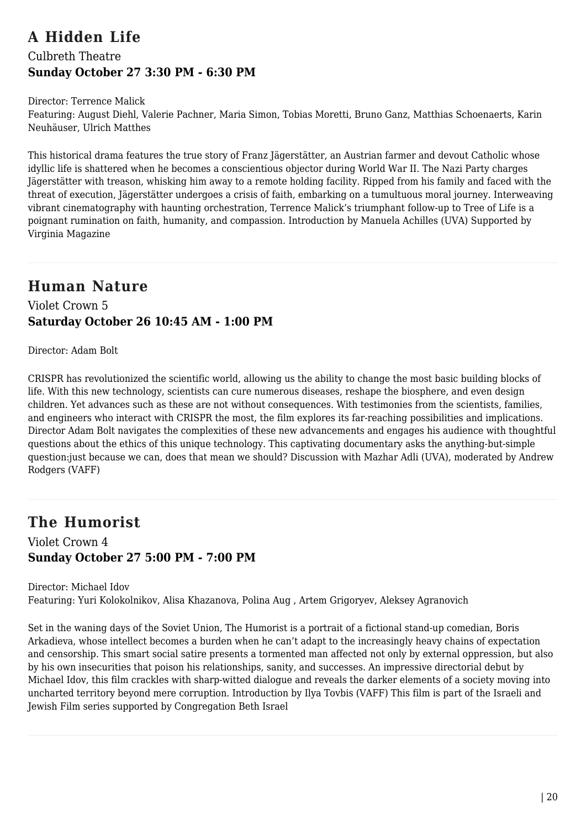## **A Hidden Life** Culbreth Theatre **Sunday October 27 3:30 PM - 6:30 PM**

#### Director: Terrence Malick

Featuring: August Diehl, Valerie Pachner, Maria Simon, Tobias Moretti, Bruno Ganz, Matthias Schoenaerts, Karin Neuhäuser, Ulrich Matthes

This historical drama features the true story of Franz Jägerstätter, an Austrian farmer and devout Catholic whose idyllic life is shattered when he becomes a conscientious objector during World War II. The Nazi Party charges Jägerstätter with treason, whisking him away to a remote holding facility. Ripped from his family and faced with the threat of execution, Jägerstätter undergoes a crisis of faith, embarking on a tumultuous moral journey. Interweaving vibrant cinematography with haunting orchestration, Terrence Malick's triumphant follow-up to Tree of Life is a poignant rumination on faith, humanity, and compassion. Introduction by Manuela Achilles (UVA) Supported by Virginia Magazine

## **Human Nature**

Violet Crown 5 **Saturday October 26 10:45 AM - 1:00 PM**

Director: Adam Bolt

CRISPR has revolutionized the scientific world, allowing us the ability to change the most basic building blocks of life. With this new technology, scientists can cure numerous diseases, reshape the biosphere, and even design children. Yet advances such as these are not without consequences. With testimonies from the scientists, families, and engineers who interact with CRISPR the most, the film explores its far-reaching possibilities and implications. Director Adam Bolt navigates the complexities of these new advancements and engages his audience with thoughtful questions about the ethics of this unique technology. This captivating documentary asks the anything-but-simple question:just because we can, does that mean we should? Discussion with Mazhar Adli (UVA), moderated by Andrew Rodgers (VAFF)

## **The Humorist**

Violet Crown 4 **Sunday October 27 5:00 PM - 7:00 PM**

Director: Michael Idov Featuring: Yuri Kolokolnikov, Alisa Khazanova, Polina Aug , Artem Grigoryev, Aleksey Agranovich

Set in the waning days of the Soviet Union, The Humorist is a portrait of a fictional stand-up comedian, Boris Arkadieva, whose intellect becomes a burden when he can't adapt to the increasingly heavy chains of expectation and censorship. This smart social satire presents a tormented man affected not only by external oppression, but also by his own insecurities that poison his relationships, sanity, and successes. An impressive directorial debut by Michael Idov, this film crackles with sharp-witted dialogue and reveals the darker elements of a society moving into uncharted territory beyond mere corruption. Introduction by Ilya Tovbis (VAFF) This film is part of the Israeli and Jewish Film series supported by Congregation Beth Israel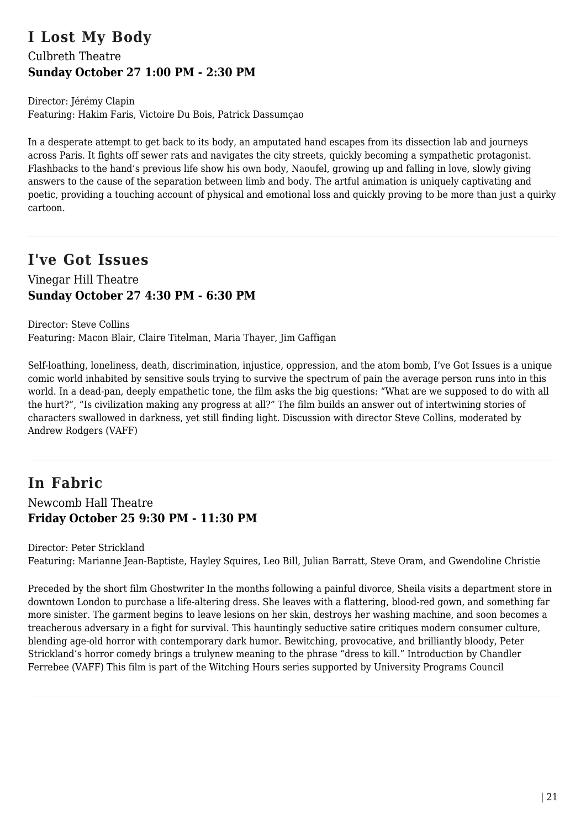## **I Lost My Body** Culbreth Theatre **Sunday October 27 1:00 PM - 2:30 PM**

Director: Jérémy Clapin Featuring: Hakim Faris, Victoire Du Bois, Patrick Dassumçao

In a desperate attempt to get back to its body, an amputated hand escapes from its dissection lab and journeys across Paris. It fights off sewer rats and navigates the city streets, quickly becoming a sympathetic protagonist. Flashbacks to the hand's previous life show his own body, Naoufel, growing up and falling in love, slowly giving answers to the cause of the separation between limb and body. The artful animation is uniquely captivating and poetic, providing a touching account of physical and emotional loss and quickly proving to be more than just a quirky cartoon.

## **I've Got Issues**

### Vinegar Hill Theatre **Sunday October 27 4:30 PM - 6:30 PM**

Director: Steve Collins Featuring: Macon Blair, Claire Titelman, Maria Thayer, Jim Gaffigan

Self-loathing, loneliness, death, discrimination, injustice, oppression, and the atom bomb, I've Got Issues is a unique comic world inhabited by sensitive souls trying to survive the spectrum of pain the average person runs into in this world. In a dead-pan, deeply empathetic tone, the film asks the big questions: "What are we supposed to do with all the hurt?", "Is civilization making any progress at all?" The film builds an answer out of intertwining stories of characters swallowed in darkness, yet still finding light. Discussion with director Steve Collins, moderated by Andrew Rodgers (VAFF)

## **In Fabric** Newcomb Hall Theatre **Friday October 25 9:30 PM - 11:30 PM**

Director: Peter Strickland Featuring: Marianne Jean-Baptiste, Hayley Squires, Leo Bill, Julian Barratt, Steve Oram, and Gwendoline Christie

Preceded by the short film Ghostwriter In the months following a painful divorce, Sheila visits a department store in downtown London to purchase a life-altering dress. She leaves with a flattering, blood-red gown, and something far more sinister. The garment begins to leave lesions on her skin, destroys her washing machine, and soon becomes a treacherous adversary in a fight for survival. This hauntingly seductive satire critiques modern consumer culture, blending age-old horror with contemporary dark humor. Bewitching, provocative, and brilliantly bloody, Peter Strickland's horror comedy brings a trulynew meaning to the phrase "dress to kill." Introduction by Chandler Ferrebee (VAFF) This film is part of the Witching Hours series supported by University Programs Council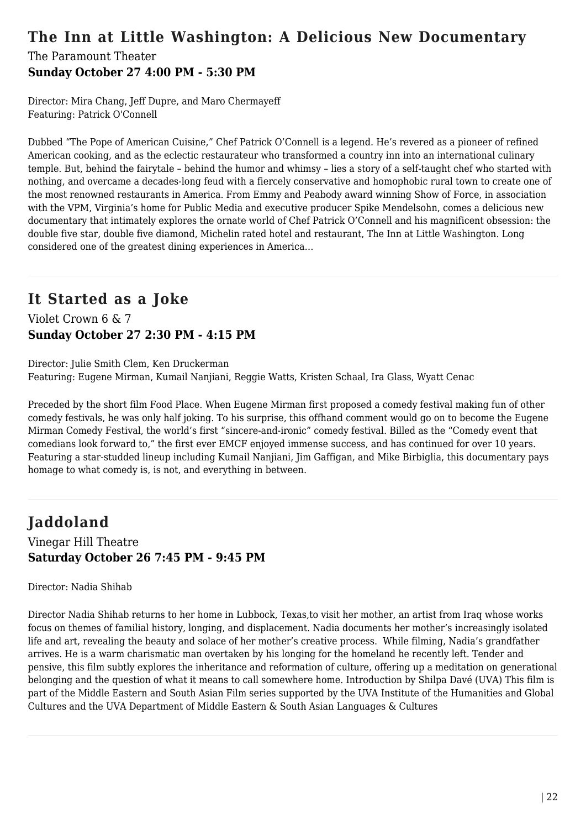## **The Inn at Little Washington: A Delicious New Documentary**

### The Paramount Theater **Sunday October 27 4:00 PM - 5:30 PM**

Director: Mira Chang, Jeff Dupre, and Maro Chermayeff Featuring: Patrick O'Connell

Dubbed "The Pope of American Cuisine," Chef Patrick O'Connell is a legend. He's revered as a pioneer of refined American cooking, and as the eclectic restaurateur who transformed a country inn into an international culinary temple. But, behind the fairytale – behind the humor and whimsy – lies a story of a self-taught chef who started with nothing, and overcame a decades-long feud with a fiercely conservative and homophobic rural town to create one of the most renowned restaurants in America. From Emmy and Peabody award winning Show of Force, in association with the VPM, Virginia's home for Public Media and executive producer Spike Mendelsohn, comes a delicious new documentary that intimately explores the ornate world of Chef Patrick O'Connell and his magnificent obsession: the double five star, double five diamond, Michelin rated hotel and restaurant, The Inn at Little Washington. Long considered one of the greatest dining experiences in America…

## **It Started as a Joke**

Violet Crown 6 & 7 **Sunday October 27 2:30 PM - 4:15 PM**

Director: Julie Smith Clem, Ken Druckerman Featuring: Eugene Mirman, Kumail Nanjiani, Reggie Watts, Kristen Schaal, Ira Glass, Wyatt Cenac

Preceded by the short film Food Place. When Eugene Mirman first proposed a comedy festival making fun of other comedy festivals, he was only half joking. To his surprise, this offhand comment would go on to become the Eugene Mirman Comedy Festival, the world's first "sincere-and-ironic" comedy festival. Billed as the "Comedy event that comedians look forward to," the first ever EMCF enjoyed immense success, and has continued for over 10 years. Featuring a star-studded lineup including Kumail Nanjiani, Jim Gaffigan, and Mike Birbiglia, this documentary pays homage to what comedy is, is not, and everything in between.

# **Jaddoland**

Vinegar Hill Theatre **Saturday October 26 7:45 PM - 9:45 PM**

Director: Nadia Shihab

Director Nadia Shihab returns to her home in Lubbock, Texas,to visit her mother, an artist from Iraq whose works focus on themes of familial history, longing, and displacement. Nadia documents her mother's increasingly isolated life and art, revealing the beauty and solace of her mother's creative process. While filming, Nadia's grandfather arrives. He is a warm charismatic man overtaken by his longing for the homeland he recently left. Tender and pensive, this film subtly explores the inheritance and reformation of culture, offering up a meditation on generational belonging and the question of what it means to call somewhere home. Introduction by Shilpa Davé (UVA) This film is part of the Middle Eastern and South Asian Film series supported by the UVA Institute of the Humanities and Global Cultures and the UVA Department of Middle Eastern & South Asian Languages & Cultures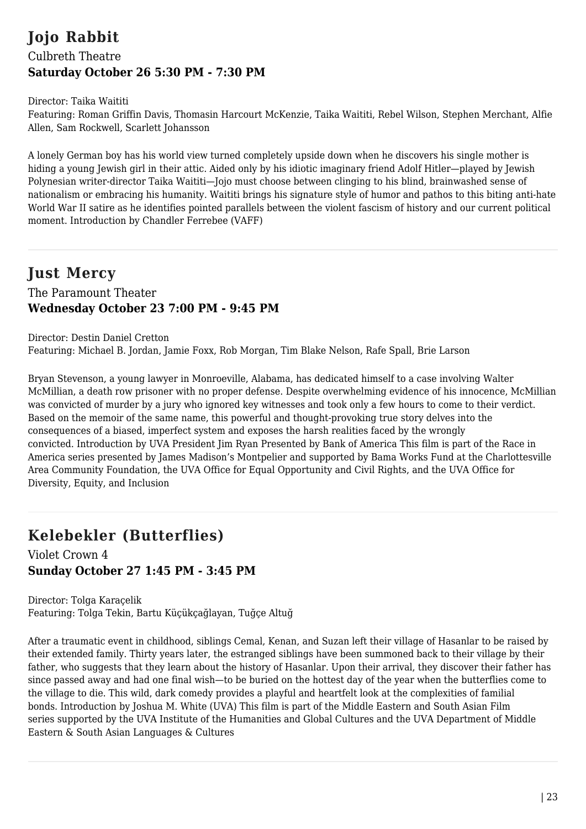## **Jojo Rabbit** Culbreth Theatre **Saturday October 26 5:30 PM - 7:30 PM**

#### Director: Taika Waititi

Featuring: Roman Griffin Davis, Thomasin Harcourt McKenzie, Taika Waititi, Rebel Wilson, Stephen Merchant, Alfie Allen, Sam Rockwell, Scarlett Johansson

A lonely German boy has his world view turned completely upside down when he discovers his single mother is hiding a young Jewish girl in their attic. Aided only by his idiotic imaginary friend Adolf Hitler—played by Jewish Polynesian writer-director Taika Waititi—Jojo must choose between clinging to his blind, brainwashed sense of nationalism or embracing his humanity. Waititi brings his signature style of humor and pathos to this biting anti-hate World War II satire as he identifies pointed parallels between the violent fascism of history and our current political moment. Introduction by Chandler Ferrebee (VAFF)

## **Just Mercy**

### The Paramount Theater **Wednesday October 23 7:00 PM - 9:45 PM**

Director: Destin Daniel Cretton Featuring: Michael B. Jordan, Jamie Foxx, Rob Morgan, Tim Blake Nelson, Rafe Spall, Brie Larson

Bryan Stevenson, a young lawyer in Monroeville, Alabama, has dedicated himself to a case involving Walter McMillian, a death row prisoner with no proper defense. Despite overwhelming evidence of his innocence, McMillian was convicted of murder by a jury who ignored key witnesses and took only a few hours to come to their verdict. Based on the memoir of the same name, this powerful and thought-provoking true story delves into the consequences of a biased, imperfect system and exposes the harsh realities faced by the wrongly convicted. Introduction by UVA President Jim Ryan Presented by Bank of America This film is part of the Race in America series presented by James Madison's Montpelier and supported by Bama Works Fund at the Charlottesville Area Community Foundation, the UVA Office for Equal Opportunity and Civil Rights, and the UVA Office for Diversity, Equity, and Inclusion

# **Kelebekler (Butterflies)**

Violet Crown 4 **Sunday October 27 1:45 PM - 3:45 PM**

Director: Tolga Karaçelik Featuring: Tolga Tekin, Bartu Küçükçağlayan, Tuğçe Altuğ

After a traumatic event in childhood, siblings Cemal, Kenan, and Suzan left their village of Hasanlar to be raised by their extended family. Thirty years later, the estranged siblings have been summoned back to their village by their father, who suggests that they learn about the history of Hasanlar. Upon their arrival, they discover their father has since passed away and had one final wish—to be buried on the hottest day of the year when the butterflies come to the village to die. This wild, dark comedy provides a playful and heartfelt look at the complexities of familial bonds. Introduction by Joshua M. White (UVA) This film is part of the Middle Eastern and South Asian Film series supported by the UVA Institute of the Humanities and Global Cultures and the UVA Department of Middle Eastern & South Asian Languages & Cultures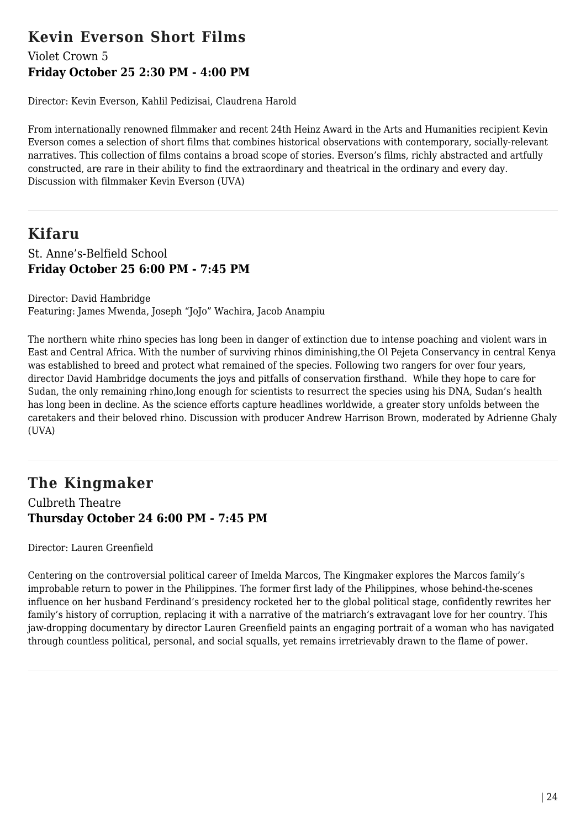## **Kevin Everson Short Films**

### Violet Crown 5 **Friday October 25 2:30 PM - 4:00 PM**

Director: Kevin Everson, Kahlil Pedizisai, Claudrena Harold

From internationally renowned filmmaker and recent 24th Heinz Award in the Arts and Humanities recipient Kevin Everson comes a selection of short films that combines historical observations with contemporary, socially-relevant narratives. This collection of films contains a broad scope of stories. Everson's films, richly abstracted and artfully constructed, are rare in their ability to find the extraordinary and theatrical in the ordinary and every day. Discussion with filmmaker Kevin Everson (UVA)

### **Kifaru** St. Anne's-Belfield School **Friday October 25 6:00 PM - 7:45 PM**

Director: David Hambridge Featuring: James Mwenda, Joseph "JoJo" Wachira, Jacob Anampiu

The northern white rhino species has long been in danger of extinction due to intense poaching and violent wars in East and Central Africa. With the number of surviving rhinos diminishing,the Ol Pejeta Conservancy in central Kenya was established to breed and protect what remained of the species. Following two rangers for over four years, director David Hambridge documents the joys and pitfalls of conservation firsthand. While they hope to care for Sudan, the only remaining rhino,long enough for scientists to resurrect the species using his DNA, Sudan's health has long been in decline. As the science efforts capture headlines worldwide, a greater story unfolds between the caretakers and their beloved rhino. Discussion with producer Andrew Harrison Brown, moderated by Adrienne Ghaly (UVA)

**The Kingmaker** Culbreth Theatre **Thursday October 24 6:00 PM - 7:45 PM**

Director: Lauren Greenfield

Centering on the controversial political career of Imelda Marcos, The Kingmaker explores the Marcos family's improbable return to power in the Philippines. The former first lady of the Philippines, whose behind-the-scenes influence on her husband Ferdinand's presidency rocketed her to the global political stage, confidently rewrites her family's history of corruption, replacing it with a narrative of the matriarch's extravagant love for her country. This jaw-dropping documentary by director Lauren Greenfield paints an engaging portrait of a woman who has navigated through countless political, personal, and social squalls, yet remains irretrievably drawn to the flame of power.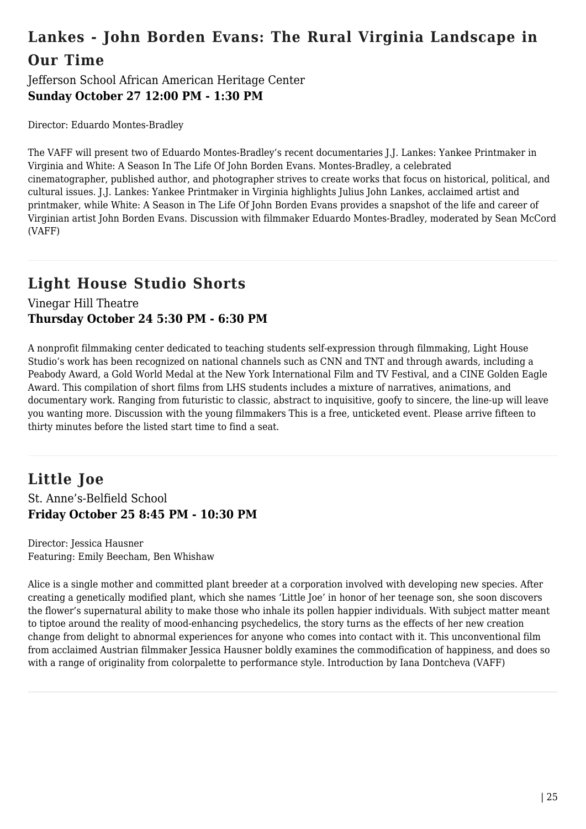# **Lankes - John Borden Evans: The Rural Virginia Landscape in Our Time**

Jefferson School African American Heritage Center **Sunday October 27 12:00 PM - 1:30 PM**

Director: Eduardo Montes-Bradley

The VAFF will present two of Eduardo Montes-Bradley's recent documentaries J.J. Lankes: Yankee Printmaker in Virginia and White: A Season In The Life Of John Borden Evans. Montes-Bradley, a celebrated cinematographer, published author, and photographer strives to create works that focus on historical, political, and cultural issues. J.J. Lankes: Yankee Printmaker in Virginia highlights Julius John Lankes, acclaimed artist and printmaker, while White: A Season in The Life Of John Borden Evans provides a snapshot of the life and career of Virginian artist John Borden Evans. Discussion with filmmaker Eduardo Montes-Bradley, moderated by Sean McCord (VAFF)

## **Light House Studio Shorts**

Vinegar Hill Theatre **Thursday October 24 5:30 PM - 6:30 PM**

A nonprofit filmmaking center dedicated to teaching students self-expression through filmmaking, Light House Studio's work has been recognized on national channels such as CNN and TNT and through awards, including a Peabody Award, a Gold World Medal at the New York International Film and TV Festival, and a CINE Golden Eagle Award. This compilation of short films from LHS students includes a mixture of narratives, animations, and documentary work. Ranging from futuristic to classic, abstract to inquisitive, goofy to sincere, the line-up will leave you wanting more. Discussion with the young filmmakers This is a free, unticketed event. Please arrive fifteen to thirty minutes before the listed start time to find a seat.

### **Little Joe** St. Anne's-Belfield School **Friday October 25 8:45 PM - 10:30 PM**

Director: Jessica Hausner Featuring: Emily Beecham, Ben Whishaw

Alice is a single mother and committed plant breeder at a corporation involved with developing new species. After creating a genetically modified plant, which she names 'Little Joe' in honor of her teenage son, she soon discovers the flower's supernatural ability to make those who inhale its pollen happier individuals. With subject matter meant to tiptoe around the reality of mood-enhancing psychedelics, the story turns as the effects of her new creation change from delight to abnormal experiences for anyone who comes into contact with it. This unconventional film from acclaimed Austrian filmmaker Jessica Hausner boldly examines the commodification of happiness, and does so with a range of originality from colorpalette to performance style. Introduction by Iana Dontcheva (VAFF)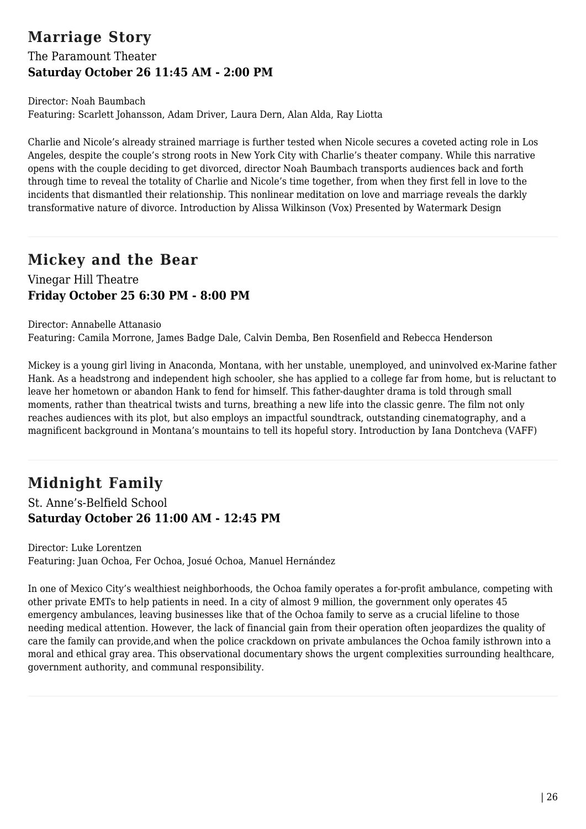# **Marriage Story**

## The Paramount Theater **Saturday October 26 11:45 AM - 2:00 PM**

Director: Noah Baumbach Featuring: Scarlett Johansson, Adam Driver, Laura Dern, Alan Alda, Ray Liotta

Charlie and Nicole's already strained marriage is further tested when Nicole secures a coveted acting role in Los Angeles, despite the couple's strong roots in New York City with Charlie's theater company. While this narrative opens with the couple deciding to get divorced, director Noah Baumbach transports audiences back and forth through time to reveal the totality of Charlie and Nicole's time together, from when they first fell in love to the incidents that dismantled their relationship. This nonlinear meditation on love and marriage reveals the darkly transformative nature of divorce. Introduction by Alissa Wilkinson (Vox) Presented by Watermark Design

# **Mickey and the Bear**

### Vinegar Hill Theatre **Friday October 25 6:30 PM - 8:00 PM**

Director: Annabelle Attanasio Featuring: Camila Morrone, James Badge Dale, Calvin Demba, Ben Rosenfield and Rebecca Henderson

Mickey is a young girl living in Anaconda, Montana, with her unstable, unemployed, and uninvolved ex-Marine father Hank. As a headstrong and independent high schooler, she has applied to a college far from home, but is reluctant to leave her hometown or abandon Hank to fend for himself. This father-daughter drama is told through small moments, rather than theatrical twists and turns, breathing a new life into the classic genre. The film not only reaches audiences with its plot, but also employs an impactful soundtrack, outstanding cinematography, and a magnificent background in Montana's mountains to tell its hopeful story. Introduction by Iana Dontcheva (VAFF)

# **Midnight Family**

St. Anne's-Belfield School **Saturday October 26 11:00 AM - 12:45 PM**

Director: Luke Lorentzen Featuring: Juan Ochoa, Fer Ochoa, Josué Ochoa, Manuel Hernández

In one of Mexico City's wealthiest neighborhoods, the Ochoa family operates a for-profit ambulance, competing with other private EMTs to help patients in need. In a city of almost 9 million, the government only operates 45 emergency ambulances, leaving businesses like that of the Ochoa family to serve as a crucial lifeline to those needing medical attention. However, the lack of financial gain from their operation often jeopardizes the quality of care the family can provide,and when the police crackdown on private ambulances the Ochoa family isthrown into a moral and ethical gray area. This observational documentary shows the urgent complexities surrounding healthcare, government authority, and communal responsibility.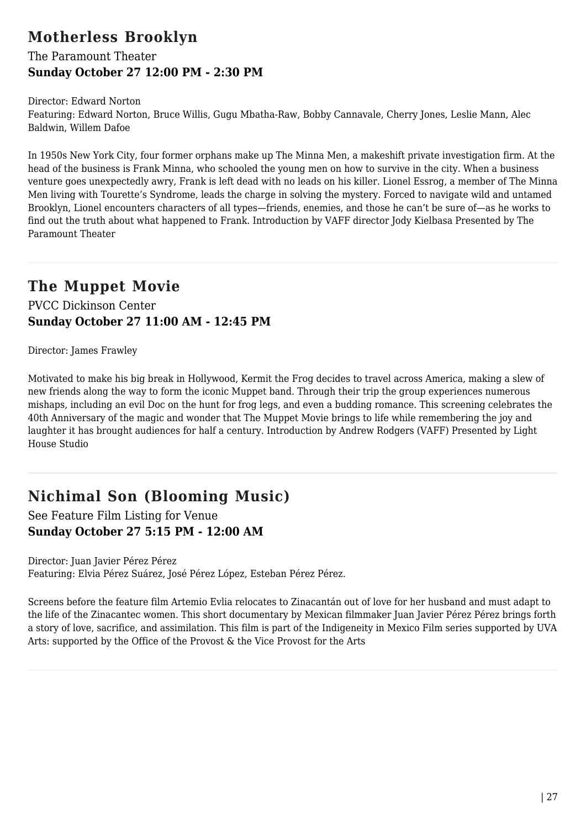## **Motherless Brooklyn**

The Paramount Theater **Sunday October 27 12:00 PM - 2:30 PM**

Director: Edward Norton Featuring: Edward Norton, Bruce Willis, Gugu Mbatha-Raw, Bobby Cannavale, Cherry Jones, Leslie Mann, Alec Baldwin, Willem Dafoe

In 1950s New York City, four former orphans make up The Minna Men, a makeshift private investigation firm. At the head of the business is Frank Minna, who schooled the young men on how to survive in the city. When a business venture goes unexpectedly awry, Frank is left dead with no leads on his killer. Lionel Essrog, a member of The Minna Men living with Tourette's Syndrome, leads the charge in solving the mystery. Forced to navigate wild and untamed Brooklyn, Lionel encounters characters of all types—friends, enemies, and those he can't be sure of—as he works to find out the truth about what happened to Frank. Introduction by VAFF director Jody Kielbasa Presented by The Paramount Theater

## **The Muppet Movie**

PVCC Dickinson Center **Sunday October 27 11:00 AM - 12:45 PM**

Director: James Frawley

Motivated to make his big break in Hollywood, Kermit the Frog decides to travel across America, making a slew of new friends along the way to form the iconic Muppet band. Through their trip the group experiences numerous mishaps, including an evil Doc on the hunt for frog legs, and even a budding romance. This screening celebrates the 40th Anniversary of the magic and wonder that The Muppet Movie brings to life while remembering the joy and laughter it has brought audiences for half a century. Introduction by Andrew Rodgers (VAFF) Presented by Light House Studio

## **Nichimal Son (Blooming Music)**

See Feature Film Listing for Venue **Sunday October 27 5:15 PM - 12:00 AM**

Director: Juan Javier Pérez Pérez Featuring: Elvia Pérez Suárez, José Pérez López, Esteban Pérez Pérez.

Screens before the feature film Artemio Evlia relocates to Zinacantán out of love for her husband and must adapt to the life of the Zinacantec women. This short documentary by Mexican filmmaker Juan Javier Pérez Pérez brings forth a story of love, sacrifice, and assimilation. This film is part of the Indigeneity in Mexico Film series supported by UVA Arts: supported by the Office of the Provost & the Vice Provost for the Arts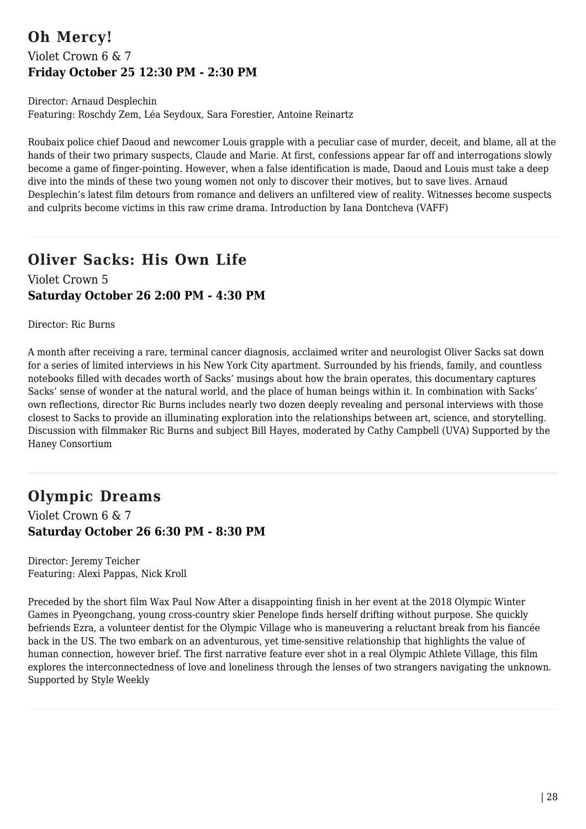## **Oh Mercy!** Violet Crown 6 & 7 **Friday October 25 12:30 PM - 2:30 PM**

Director: Arnaud Desplechin Featuring: Roschdy Zem, Léa Seydoux, Sara Forestier, Antoine Reinartz

Roubaix police chief Daoud and newcomer Louis grapple with a peculiar case of murder, deceit, and blame, all at the hands of their two primary suspects, Claude and Marie. At first, confessions appear far off and interrogations slowly become a game of finger-pointing. However, when a false identification is made, Daoud and Louis must take a deep dive into the minds of these two young women not only to discover their motives, but to save lives. Arnaud Desplechin's latest film detours from romance and delivers an unfiltered view of reality. Witnesses become suspects and culprits become victims in this raw crime drama. Introduction by Iana Dontcheva (VAFF)

## **Oliver Sacks: His Own Life** Violet Crown 5 **Saturday October 26 2:00 PM - 4:30 PM**

Director: Ric Burns

A month after receiving a rare, terminal cancer diagnosis, acclaimed writer and neurologist Oliver Sacks sat down for a series of limited interviews in his New York City apartment. Surrounded by his friends, family, and countless notebooks filled with decades worth of Sacks' musings about how the brain operates, this documentary captures Sacks' sense of wonder at the natural world, and the place of human beings within it. In combination with Sacks' own reflections, director Ric Burns includes nearly two dozen deeply revealing and personal interviews with those closest to Sacks to provide an illuminating exploration into the relationships between art, science, and storytelling. Discussion with filmmaker Ric Burns and subject Bill Hayes, moderated by Cathy Campbell (UVA) Supported by the Haney Consortium

# **Olympic Dreams**

Violet Crown 6 & 7 **Saturday October 26 6:30 PM - 8:30 PM**

Director: Jeremy Teicher Featuring: Alexi Pappas, Nick Kroll

Preceded by the short film Wax Paul Now After a disappointing finish in her event at the 2018 Olympic Winter Games in Pyeongchang, young cross-country skier Penelope finds herself drifting without purpose. She quickly befriends Ezra, a volunteer dentist for the Olympic Village who is maneuvering a reluctant break from his fiancée back in the US. The two embark on an adventurous, yet time-sensitive relationship that highlights the value of human connection, however brief. The first narrative feature ever shot in a real Olympic Athlete Village, this film explores the interconnectedness of love and loneliness through the lenses of two strangers navigating the unknown. Supported by Style Weekly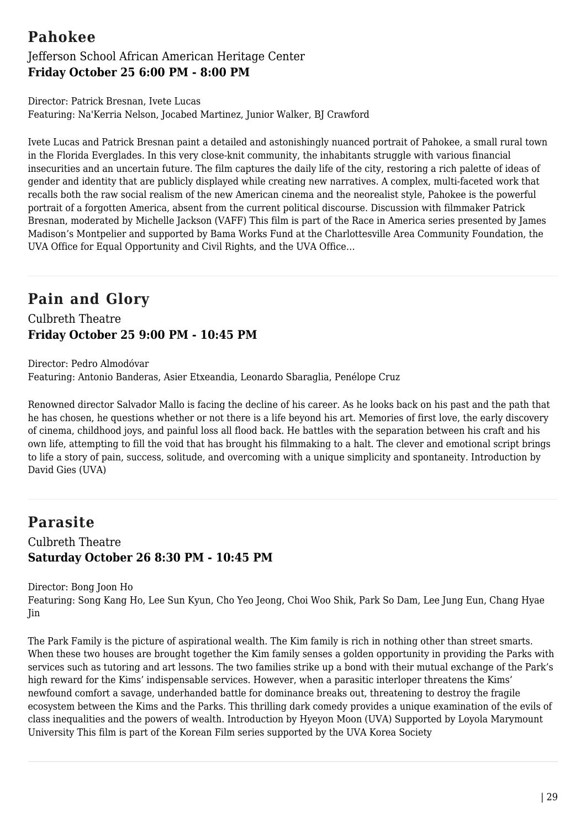## **Pahokee**

### Jefferson School African American Heritage Center **Friday October 25 6:00 PM - 8:00 PM**

Director: Patrick Bresnan, Ivete Lucas Featuring: Na'Kerria Nelson, Jocabed Martinez, Junior Walker, BJ Crawford

Ivete Lucas and Patrick Bresnan paint a detailed and astonishingly nuanced portrait of Pahokee, a small rural town in the Florida Everglades. In this very close-knit community, the inhabitants struggle with various financial insecurities and an uncertain future. The film captures the daily life of the city, restoring a rich palette of ideas of gender and identity that are publicly displayed while creating new narratives. A complex, multi-faceted work that recalls both the raw social realism of the new American cinema and the neorealist style, Pahokee is the powerful portrait of a forgotten America, absent from the current political discourse. Discussion with filmmaker Patrick Bresnan, moderated by Michelle Jackson (VAFF) This film is part of the Race in America series presented by James Madison's Montpelier and supported by Bama Works Fund at the Charlottesville Area Community Foundation, the UVA Office for Equal Opportunity and Civil Rights, and the UVA Office…

# **Pain and Glory**

Culbreth Theatre **Friday October 25 9:00 PM - 10:45 PM**

Director: Pedro Almodóvar Featuring: Antonio Banderas, Asier Etxeandia, Leonardo Sbaraglia, Penélope Cruz

Renowned director Salvador Mallo is facing the decline of his career. As he looks back on his past and the path that he has chosen, he questions whether or not there is a life beyond his art. Memories of first love, the early discovery of cinema, childhood joys, and painful loss all flood back. He battles with the separation between his craft and his own life, attempting to fill the void that has brought his filmmaking to a halt. The clever and emotional script brings to life a story of pain, success, solitude, and overcoming with a unique simplicity and spontaneity. Introduction by David Gies (UVA)

## **Parasite**

Culbreth Theatre **Saturday October 26 8:30 PM - 10:45 PM**

Director: Bong Joon Ho

Featuring: Song Kang Ho, Lee Sun Kyun, Cho Yeo Jeong, Choi Woo Shik, Park So Dam, Lee Jung Eun, Chang Hyae Jin

The Park Family is the picture of aspirational wealth. The Kim family is rich in nothing other than street smarts. When these two houses are brought together the Kim family senses a golden opportunity in providing the Parks with services such as tutoring and art lessons. The two families strike up a bond with their mutual exchange of the Park's high reward for the Kims' indispensable services. However, when a parasitic interloper threatens the Kims' newfound comfort a savage, underhanded battle for dominance breaks out, threatening to destroy the fragile ecosystem between the Kims and the Parks. This thrilling dark comedy provides a unique examination of the evils of class inequalities and the powers of wealth. Introduction by Hyeyon Moon (UVA) Supported by Loyola Marymount University This film is part of the Korean Film series supported by the UVA Korea Society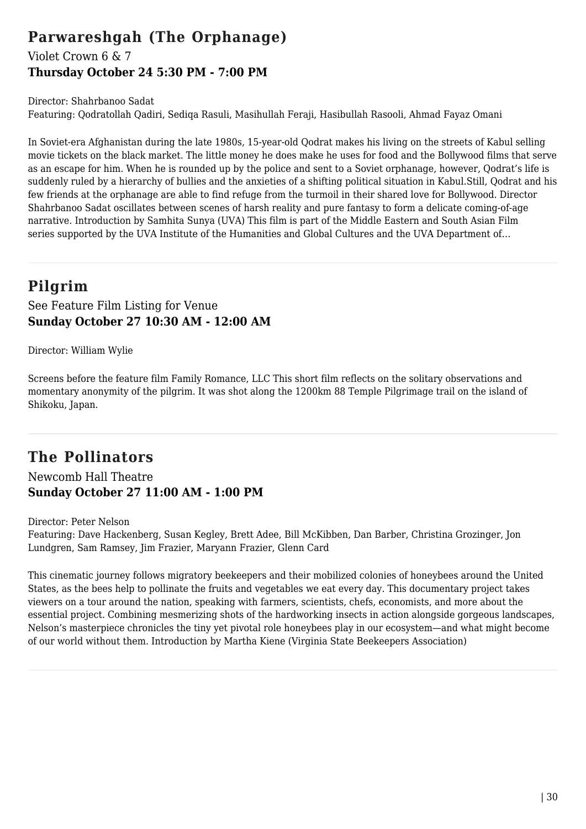## **Parwareshgah (The Orphanage)**

### Violet Crown 6 & 7 **Thursday October 24 5:30 PM - 7:00 PM**

Director: Shahrbanoo Sadat Featuring: Qodratollah Qadiri, Sediqa Rasuli, Masihullah Feraji, Hasibullah Rasooli, Ahmad Fayaz Omani

In Soviet-era Afghanistan during the late 1980s, 15-year-old Qodrat makes his living on the streets of Kabul selling movie tickets on the black market. The little money he does make he uses for food and the Bollywood films that serve as an escape for him. When he is rounded up by the police and sent to a Soviet orphanage, however, Qodrat's life is suddenly ruled by a hierarchy of bullies and the anxieties of a shifting political situation in Kabul.Still, Qodrat and his few friends at the orphanage are able to find refuge from the turmoil in their shared love for Bollywood. Director Shahrbanoo Sadat oscillates between scenes of harsh reality and pure fantasy to form a delicate coming-of-age narrative. Introduction by Samhita Sunya (UVA) This film is part of the Middle Eastern and South Asian Film series supported by the UVA Institute of the Humanities and Global Cultures and the UVA Department of...

# **Pilgrim**

See Feature Film Listing for Venue **Sunday October 27 10:30 AM - 12:00 AM**

Director: William Wylie

Screens before the feature film Family Romance, LLC This short film reflects on the solitary observations and momentary anonymity of the pilgrim. It was shot along the 1200km 88 Temple Pilgrimage trail on the island of Shikoku, Japan.

# **The Pollinators**

Newcomb Hall Theatre **Sunday October 27 11:00 AM - 1:00 PM**

Director: Peter Nelson

Featuring: Dave Hackenberg, Susan Kegley, Brett Adee, Bill McKibben, Dan Barber, Christina Grozinger, Jon Lundgren, Sam Ramsey, Jim Frazier, Maryann Frazier, Glenn Card

This cinematic journey follows migratory beekeepers and their mobilized colonies of honeybees around the United States, as the bees help to pollinate the fruits and vegetables we eat every day. This documentary project takes viewers on a tour around the nation, speaking with farmers, scientists, chefs, economists, and more about the essential project. Combining mesmerizing shots of the hardworking insects in action alongside gorgeous landscapes, Nelson's masterpiece chronicles the tiny yet pivotal role honeybees play in our ecosystem—and what might become of our world without them. Introduction by Martha Kiene (Virginia State Beekeepers Association)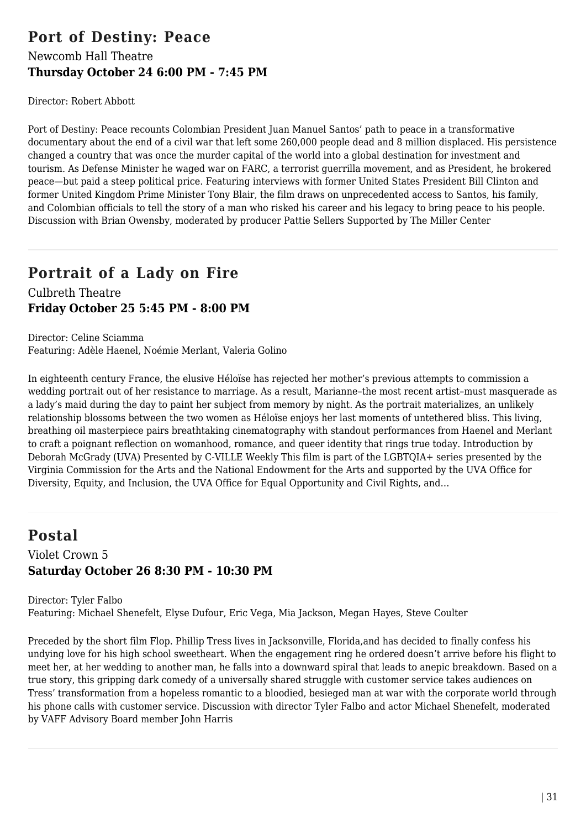## **Port of Destiny: Peace** Newcomb Hall Theatre **Thursday October 24 6:00 PM - 7:45 PM**

Director: Robert Abbott

Port of Destiny: Peace recounts Colombian President Juan Manuel Santos' path to peace in a transformative documentary about the end of a civil war that left some 260,000 people dead and 8 million displaced. His persistence changed a country that was once the murder capital of the world into a global destination for investment and tourism. As Defense Minister he waged war on FARC, a terrorist guerrilla movement, and as President, he brokered peace—but paid a steep political price. Featuring interviews with former United States President Bill Clinton and former United Kingdom Prime Minister Tony Blair, the film draws on unprecedented access to Santos, his family, and Colombian officials to tell the story of a man who risked his career and his legacy to bring peace to his people. Discussion with Brian Owensby, moderated by producer Pattie Sellers Supported by The Miller Center

## **Portrait of a Lady on Fire**

Culbreth Theatre **Friday October 25 5:45 PM - 8:00 PM**

Director: Celine Sciamma Featuring: Adèle Haenel, Noémie Merlant, Valeria Golino

In eighteenth century France, the elusive Héloïse has rejected her mother's previous attempts to commission a wedding portrait out of her resistance to marriage. As a result, Marianne–the most recent artist–must masquerade as a lady's maid during the day to paint her subject from memory by night. As the portrait materializes, an unlikely relationship blossoms between the two women as Héloïse enjoys her last moments of untethered bliss. This living, breathing oil masterpiece pairs breathtaking cinematography with standout performances from Haenel and Merlant to craft a poignant reflection on womanhood, romance, and queer identity that rings true today. Introduction by Deborah McGrady (UVA) Presented by C-VILLE Weekly This film is part of the LGBTQIA+ series presented by the Virginia Commission for the Arts and the National Endowment for the Arts and supported by the UVA Office for Diversity, Equity, and Inclusion, the UVA Office for Equal Opportunity and Civil Rights, and…

## **Postal**

### Violet Crown 5 **Saturday October 26 8:30 PM - 10:30 PM**

Director: Tyler Falbo Featuring: Michael Shenefelt, Elyse Dufour, Eric Vega, Mia Jackson, Megan Hayes, Steve Coulter

Preceded by the short film Flop. Phillip Tress lives in Jacksonville, Florida,and has decided to finally confess his undying love for his high school sweetheart. When the engagement ring he ordered doesn't arrive before his flight to meet her, at her wedding to another man, he falls into a downward spiral that leads to anepic breakdown. Based on a true story, this gripping dark comedy of a universally shared struggle with customer service takes audiences on Tress' transformation from a hopeless romantic to a bloodied, besieged man at war with the corporate world through his phone calls with customer service. Discussion with director Tyler Falbo and actor Michael Shenefelt, moderated by VAFF Advisory Board member John Harris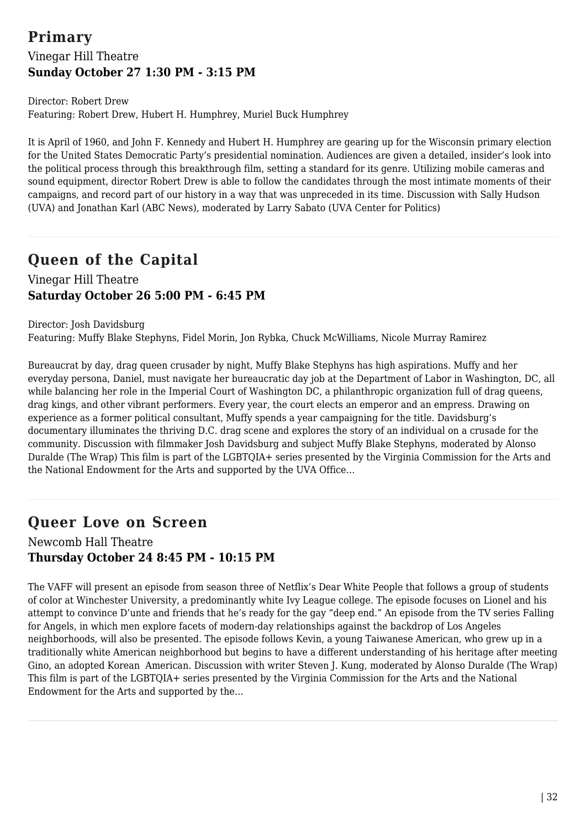## **Primary** Vinegar Hill Theatre **Sunday October 27 1:30 PM - 3:15 PM**

Director: Robert Drew Featuring: Robert Drew, Hubert H. Humphrey, Muriel Buck Humphrey

It is April of 1960, and John F. Kennedy and Hubert H. Humphrey are gearing up for the Wisconsin primary election for the United States Democratic Party's presidential nomination. Audiences are given a detailed, insider's look into the political process through this breakthrough film, setting a standard for its genre. Utilizing mobile cameras and sound equipment, director Robert Drew is able to follow the candidates through the most intimate moments of their campaigns, and record part of our history in a way that was unpreceded in its time. Discussion with Sally Hudson (UVA) and Jonathan Karl (ABC News), moderated by Larry Sabato (UVA Center for Politics)

# **Queen of the Capital**

### Vinegar Hill Theatre **Saturday October 26 5:00 PM - 6:45 PM**

Director: Josh Davidsburg Featuring: Muffy Blake Stephyns, Fidel Morin, Jon Rybka, Chuck McWilliams, Nicole Murray Ramirez

Bureaucrat by day, drag queen crusader by night, Muffy Blake Stephyns has high aspirations. Muffy and her everyday persona, Daniel, must navigate her bureaucratic day job at the Department of Labor in Washington, DC, all while balancing her role in the Imperial Court of Washington DC, a philanthropic organization full of drag queens, drag kings, and other vibrant performers. Every year, the court elects an emperor and an empress. Drawing on experience as a former political consultant, Muffy spends a year campaigning for the title. Davidsburg's documentary illuminates the thriving D.C. drag scene and explores the story of an individual on a crusade for the community. Discussion with filmmaker Josh Davidsburg and subject Muffy Blake Stephyns, moderated by Alonso Duralde (The Wrap) This film is part of the LGBTQIA+ series presented by the Virginia Commission for the Arts and the National Endowment for the Arts and supported by the UVA Office…

# **Queer Love on Screen**

Newcomb Hall Theatre **Thursday October 24 8:45 PM - 10:15 PM**

The VAFF will present an episode from season three of Netflix's Dear White People that follows a group of students of color at Winchester University, a predominantly white Ivy League college. The episode focuses on Lionel and his attempt to convince D'unte and friends that he's ready for the gay "deep end." An episode from the TV series Falling for Angels, in which men explore facets of modern-day relationships against the backdrop of Los Angeles neighborhoods, will also be presented. The episode follows Kevin, a young Taiwanese American, who grew up in a traditionally white American neighborhood but begins to have a different understanding of his heritage after meeting Gino, an adopted Korean American. Discussion with writer Steven J. Kung, moderated by Alonso Duralde (The Wrap) This film is part of the LGBTQIA+ series presented by the Virginia Commission for the Arts and the National Endowment for the Arts and supported by the…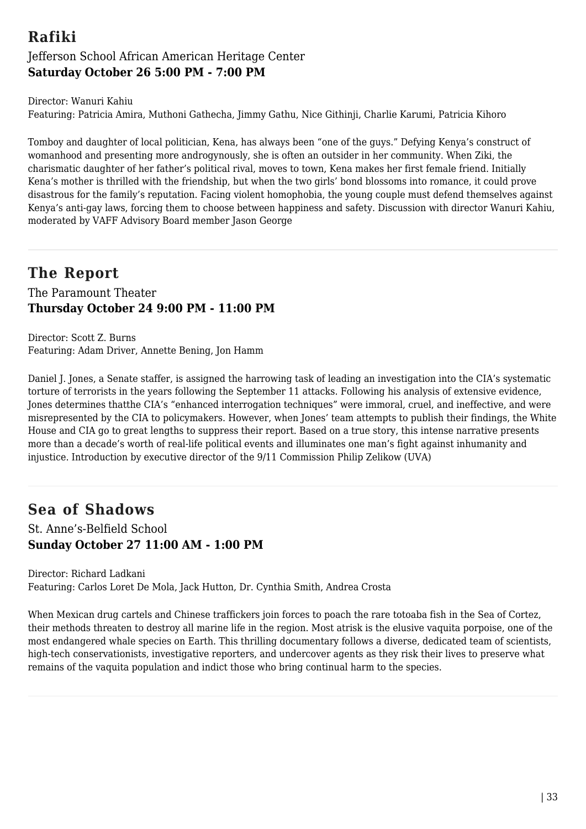## **Rafiki** Jefferson School African American Heritage Center **Saturday October 26 5:00 PM - 7:00 PM**

Director: Wanuri Kahiu Featuring: Patricia Amira, Muthoni Gathecha, Jimmy Gathu, Nice Githinji, Charlie Karumi, Patricia Kihoro

Tomboy and daughter of local politician, Kena, has always been "one of the guys." Defying Kenya's construct of womanhood and presenting more androgynously, she is often an outsider in her community. When Ziki, the charismatic daughter of her father's political rival, moves to town, Kena makes her first female friend. Initially Kena's mother is thrilled with the friendship, but when the two girls' bond blossoms into romance, it could prove disastrous for the family's reputation. Facing violent homophobia, the young couple must defend themselves against Kenya's anti-gay laws, forcing them to choose between happiness and safety. Discussion with director Wanuri Kahiu, moderated by VAFF Advisory Board member Jason George

## **The Report**

The Paramount Theater **Thursday October 24 9:00 PM - 11:00 PM**

Director: Scott Z. Burns Featuring: Adam Driver, Annette Bening, Jon Hamm

Daniel J. Jones, a Senate staffer, is assigned the harrowing task of leading an investigation into the CIA's systematic torture of terrorists in the years following the September 11 attacks. Following his analysis of extensive evidence, Jones determines thatthe CIA's "enhanced interrogation techniques" were immoral, cruel, and ineffective, and were misrepresented by the CIA to policymakers. However, when Jones' team attempts to publish their findings, the White House and CIA go to great lengths to suppress their report. Based on a true story, this intense narrative presents more than a decade's worth of real-life political events and illuminates one man's fight against inhumanity and injustice. Introduction by executive director of the 9/11 Commission Philip Zelikow (UVA)

# **Sea of Shadows**

St. Anne's-Belfield School **Sunday October 27 11:00 AM - 1:00 PM**

Director: Richard Ladkani Featuring: Carlos Loret De Mola, Jack Hutton, Dr. Cynthia Smith, Andrea Crosta

When Mexican drug cartels and Chinese traffickers join forces to poach the rare totoaba fish in the Sea of Cortez, their methods threaten to destroy all marine life in the region. Most atrisk is the elusive vaquita porpoise, one of the most endangered whale species on Earth. This thrilling documentary follows a diverse, dedicated team of scientists, high-tech conservationists, investigative reporters, and undercover agents as they risk their lives to preserve what remains of the vaquita population and indict those who bring continual harm to the species.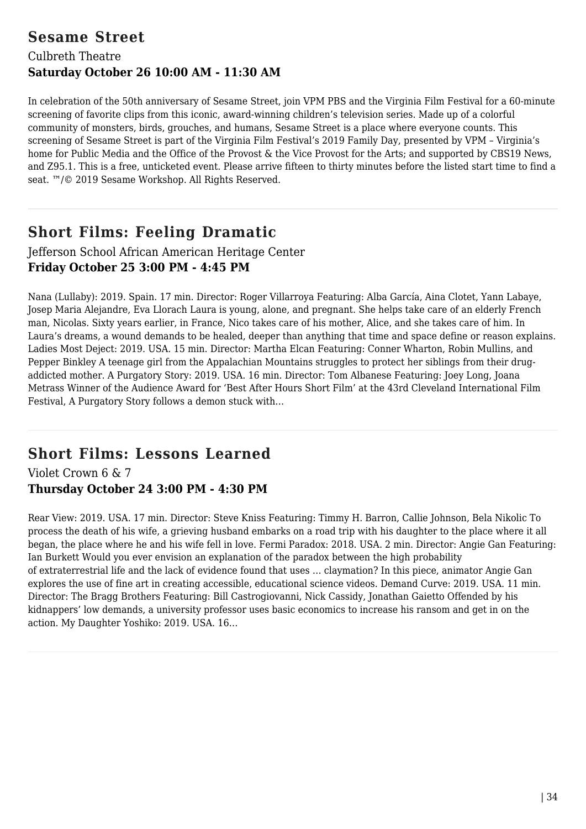## **Sesame Street**

## Culbreth Theatre **Saturday October 26 10:00 AM - 11:30 AM**

In celebration of the 50th anniversary of Sesame Street, join VPM PBS and the Virginia Film Festival for a 60-minute screening of favorite clips from this iconic, award-winning children's television series. Made up of a colorful community of monsters, birds, grouches, and humans, Sesame Street is a place where everyone counts. This screening of Sesame Street is part of the Virginia Film Festival's 2019 Family Day, presented by VPM – Virginia's home for Public Media and the Office of the Provost & the Vice Provost for the Arts; and supported by CBS19 News, and Z95.1. This is a free, unticketed event. Please arrive fifteen to thirty minutes before the listed start time to find a seat. ™/© 2019 Sesame Workshop. All Rights Reserved.

## **Short Films: Feeling Dramatic**

### Jefferson School African American Heritage Center **Friday October 25 3:00 PM - 4:45 PM**

Nana (Lullaby): 2019. Spain. 17 min. Director: Roger Villarroya Featuring: Alba García, Aina Clotet, Yann Labaye, Josep Maria Alejandre, Eva Llorach Laura is young, alone, and pregnant. She helps take care of an elderly French man, Nicolas. Sixty years earlier, in France, Nico takes care of his mother, Alice, and she takes care of him. In Laura's dreams, a wound demands to be healed, deeper than anything that time and space define or reason explains. Ladies Most Deject: 2019. USA. 15 min. Director: Martha Elcan Featuring: Conner Wharton, Robin Mullins, and Pepper Binkley A teenage girl from the Appalachian Mountains struggles to protect her siblings from their drugaddicted mother. A Purgatory Story: 2019. USA. 16 min. Director: Tom Albanese Featuring: Joey Long, Joana Metrass Winner of the Audience Award for 'Best After Hours Short Film' at the 43rd Cleveland International Film Festival, A Purgatory Story follows a demon stuck with…

## **Short Films: Lessons Learned**

Violet Crown 6 & 7 **Thursday October 24 3:00 PM - 4:30 PM**

Rear View: 2019. USA. 17 min. Director: Steve Kniss Featuring: Timmy H. Barron, Callie Johnson, Bela Nikolic To process the death of his wife, a grieving husband embarks on a road trip with his daughter to the place where it all began, the place where he and his wife fell in love. Fermi Paradox: 2018. USA. 2 min. Director: Angie Gan Featuring: Ian Burkett Would you ever envision an explanation of the paradox between the high probability of extraterrestrial life and the lack of evidence found that uses … claymation? In this piece, animator Angie Gan explores the use of fine art in creating accessible, educational science videos. Demand Curve: 2019. USA. 11 min. Director: The Bragg Brothers Featuring: Bill Castrogiovanni, Nick Cassidy, Jonathan Gaietto Offended by his kidnappers' low demands, a university professor uses basic economics to increase his ransom and get in on the action. My Daughter Yoshiko: 2019. USA. 16…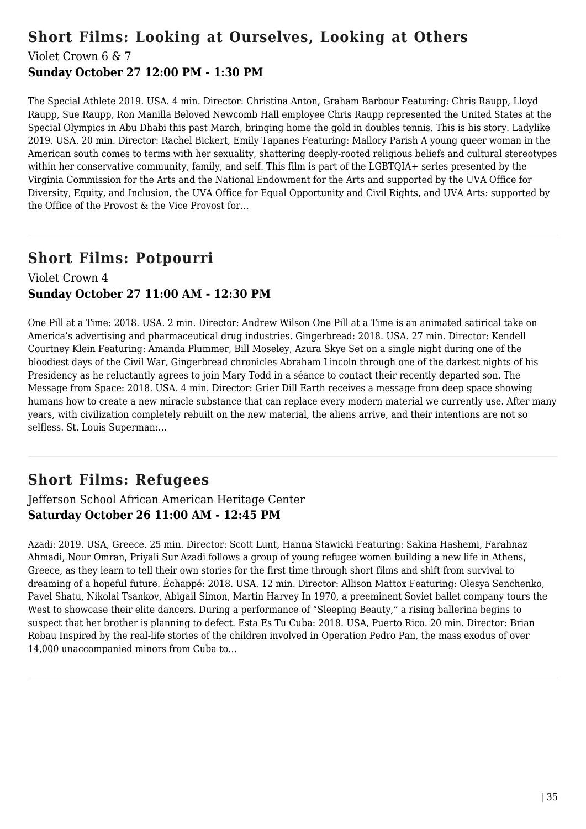# **Short Films: Looking at Ourselves, Looking at Others**

Violet Crown 6 & 7

### **Sunday October 27 12:00 PM - 1:30 PM**

The Special Athlete 2019. USA. 4 min. Director: Christina Anton, Graham Barbour Featuring: Chris Raupp, Lloyd Raupp, Sue Raupp, Ron Manilla Beloved Newcomb Hall employee Chris Raupp represented the United States at the Special Olympics in Abu Dhabi this past March, bringing home the gold in doubles tennis. This is his story. Ladylike 2019. USA. 20 min. Director: Rachel Bickert, Emily Tapanes Featuring: Mallory Parish A young queer woman in the American south comes to terms with her sexuality, shattering deeply-rooted religious beliefs and cultural stereotypes within her conservative community, family, and self. This film is part of the LGBTQIA+ series presented by the Virginia Commission for the Arts and the National Endowment for the Arts and supported by the UVA Office for Diversity, Equity, and Inclusion, the UVA Office for Equal Opportunity and Civil Rights, and UVA Arts: supported by the Office of the Provost & the Vice Provost for…

## **Short Films: Potpourri**

### Violet Crown 4 **Sunday October 27 11:00 AM - 12:30 PM**

One Pill at a Time: 2018. USA. 2 min. Director: Andrew Wilson One Pill at a Time is an animated satirical take on America's advertising and pharmaceutical drug industries. Gingerbread: 2018. USA. 27 min. Director: Kendell Courtney Klein Featuring: Amanda Plummer, Bill Moseley, Azura Skye Set on a single night during one of the bloodiest days of the Civil War, Gingerbread chronicles Abraham Lincoln through one of the darkest nights of his Presidency as he reluctantly agrees to join Mary Todd in a séance to contact their recently departed son. The Message from Space: 2018. USA. 4 min. Director: Grier Dill Earth receives a message from deep space showing humans how to create a new miracle substance that can replace every modern material we currently use. After many years, with civilization completely rebuilt on the new material, the aliens arrive, and their intentions are not so selfless. St. Louis Superman:…

# **Short Films: Refugees**

### Jefferson School African American Heritage Center **Saturday October 26 11:00 AM - 12:45 PM**

Azadi: 2019. USA, Greece. 25 min. Director: Scott Lunt, Hanna Stawicki Featuring: Sakina Hashemi, Farahnaz Ahmadi, Nour Omran, Priyali Sur Azadi follows a group of young refugee women building a new life in Athens, Greece, as they learn to tell their own stories for the first time through short films and shift from survival to dreaming of a hopeful future. Échappé: 2018. USA. 12 min. Director: Allison Mattox Featuring: Olesya Senchenko, Pavel Shatu, Nikolai Tsankov, Abigail Simon, Martin Harvey In 1970, a preeminent Soviet ballet company tours the West to showcase their elite dancers. During a performance of "Sleeping Beauty," a rising ballerina begins to suspect that her brother is planning to defect. Esta Es Tu Cuba: 2018. USA, Puerto Rico. 20 min. Director: Brian Robau Inspired by the real-life stories of the children involved in Operation Pedro Pan, the mass exodus of over 14,000 unaccompanied minors from Cuba to…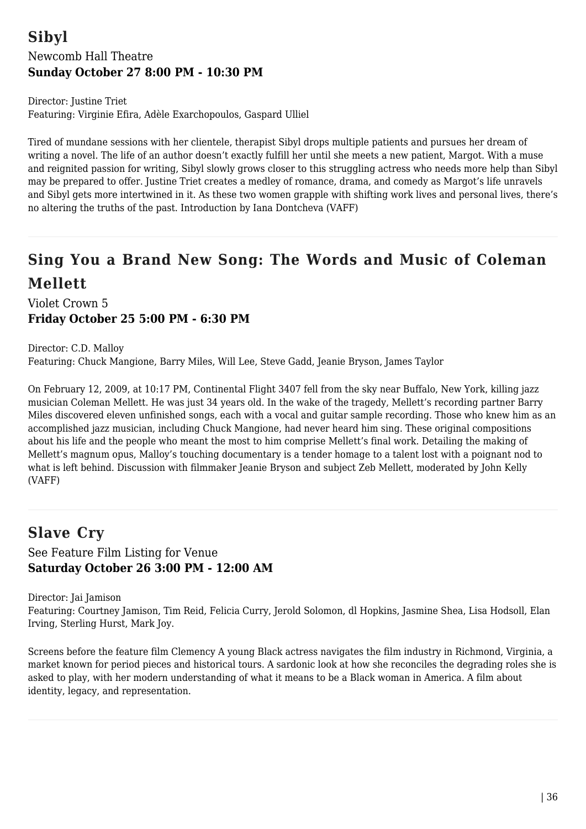## **Sibyl** Newcomb Hall Theatre **Sunday October 27 8:00 PM - 10:30 PM**

Director: Justine Triet Featuring: Virginie Efira, Adèle Exarchopoulos, Gaspard Ulliel

Tired of mundane sessions with her clientele, therapist Sibyl drops multiple patients and pursues her dream of writing a novel. The life of an author doesn't exactly fulfill her until she meets a new patient, Margot. With a muse and reignited passion for writing, Sibyl slowly grows closer to this struggling actress who needs more help than Sibyl may be prepared to offer. Justine Triet creates a medley of romance, drama, and comedy as Margot's life unravels and Sibyl gets more intertwined in it. As these two women grapple with shifting work lives and personal lives, there's no altering the truths of the past. Introduction by Iana Dontcheva (VAFF)

# **Sing You a Brand New Song: The Words and Music of Coleman Mellett**

Violet Crown 5 **Friday October 25 5:00 PM - 6:30 PM**

Director: C.D. Malloy Featuring: Chuck Mangione, Barry Miles, Will Lee, Steve Gadd, Jeanie Bryson, James Taylor

On February 12, 2009, at 10:17 PM, Continental Flight 3407 fell from the sky near Buffalo, New York, killing jazz musician Coleman Mellett. He was just 34 years old. In the wake of the tragedy, Mellett's recording partner Barry Miles discovered eleven unfinished songs, each with a vocal and guitar sample recording. Those who knew him as an accomplished jazz musician, including Chuck Mangione, had never heard him sing. These original compositions about his life and the people who meant the most to him comprise Mellett's final work. Detailing the making of Mellett's magnum opus, Malloy's touching documentary is a tender homage to a talent lost with a poignant nod to what is left behind. Discussion with filmmaker Jeanie Bryson and subject Zeb Mellett, moderated by John Kelly (VAFF)

## **Slave Cry**

See Feature Film Listing for Venue **Saturday October 26 3:00 PM - 12:00 AM**

Director: Jai Jamison

Featuring: Courtney Jamison, Tim Reid, Felicia Curry, Jerold Solomon, dl Hopkins, Jasmine Shea, Lisa Hodsoll, Elan Irving, Sterling Hurst, Mark Joy.

Screens before the feature film Clemency A young Black actress navigates the film industry in Richmond, Virginia, a market known for period pieces and historical tours. A sardonic look at how she reconciles the degrading roles she is asked to play, with her modern understanding of what it means to be a Black woman in America. A film about identity, legacy, and representation.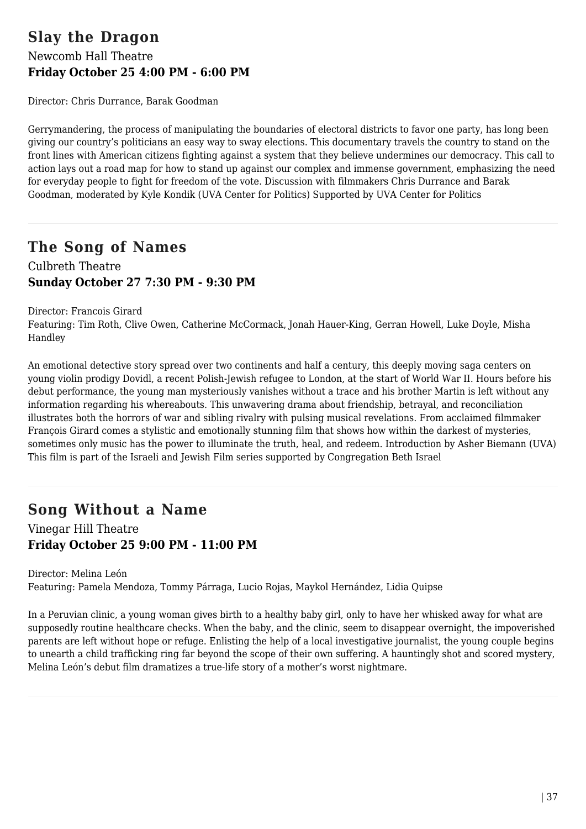## **Slay the Dragon** Newcomb Hall Theatre **Friday October 25 4:00 PM - 6:00 PM**

Director: Chris Durrance, Barak Goodman

Gerrymandering, the process of manipulating the boundaries of electoral districts to favor one party, has long been giving our country's politicians an easy way to sway elections. This documentary travels the country to stand on the front lines with American citizens fighting against a system that they believe undermines our democracy. This call to action lays out a road map for how to stand up against our complex and immense government, emphasizing the need for everyday people to fight for freedom of the vote. Discussion with filmmakers Chris Durrance and Barak Goodman, moderated by Kyle Kondik (UVA Center for Politics) Supported by UVA Center for Politics

## **The Song of Names**

Culbreth Theatre **Sunday October 27 7:30 PM - 9:30 PM**

Director: Francois Girard

Featuring: Tim Roth, Clive Owen, Catherine McCormack, Jonah Hauer-King, Gerran Howell, Luke Doyle, Misha Handley

An emotional detective story spread over two continents and half a century, this deeply moving saga centers on young violin prodigy Dovidl, a recent Polish-Jewish refugee to London, at the start of World War II. Hours before his debut performance, the young man mysteriously vanishes without a trace and his brother Martin is left without any information regarding his whereabouts. This unwavering drama about friendship, betrayal, and reconciliation illustrates both the horrors of war and sibling rivalry with pulsing musical revelations. From acclaimed filmmaker François Girard comes a stylistic and emotionally stunning film that shows how within the darkest of mysteries, sometimes only music has the power to illuminate the truth, heal, and redeem. Introduction by Asher Biemann (UVA) This film is part of the Israeli and Jewish Film series supported by Congregation Beth Israel

## **Song Without a Name**

Vinegar Hill Theatre **Friday October 25 9:00 PM - 11:00 PM**

Director: Melina León Featuring: Pamela Mendoza, Tommy Párraga, Lucio Rojas, Maykol Hernández, Lidia Quipse

In a Peruvian clinic, a young woman gives birth to a healthy baby girl, only to have her whisked away for what are supposedly routine healthcare checks. When the baby, and the clinic, seem to disappear overnight, the impoverished parents are left without hope or refuge. Enlisting the help of a local investigative journalist, the young couple begins to unearth a child trafficking ring far beyond the scope of their own suffering. A hauntingly shot and scored mystery, Melina León's debut film dramatizes a true-life story of a mother's worst nightmare.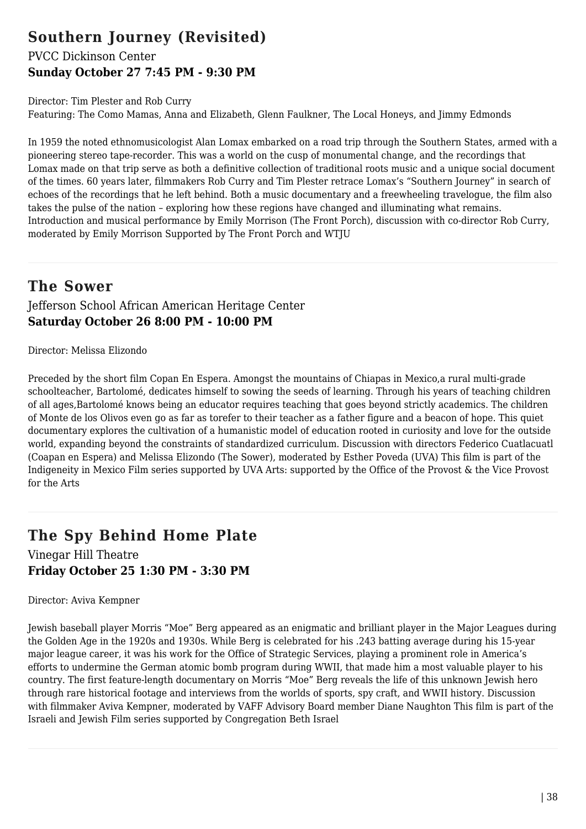## **Southern Journey (Revisited)**

## PVCC Dickinson Center **Sunday October 27 7:45 PM - 9:30 PM**

Director: Tim Plester and Rob Curry Featuring: The Como Mamas, Anna and Elizabeth, Glenn Faulkner, The Local Honeys, and Jimmy Edmonds

In 1959 the noted ethnomusicologist Alan Lomax embarked on a road trip through the Southern States, armed with a pioneering stereo tape-recorder. This was a world on the cusp of monumental change, and the recordings that Lomax made on that trip serve as both a definitive collection of traditional roots music and a unique social document of the times. 60 years later, filmmakers Rob Curry and Tim Plester retrace Lomax's "Southern Journey" in search of echoes of the recordings that he left behind. Both a music documentary and a freewheeling travelogue, the film also takes the pulse of the nation – exploring how these regions have changed and illuminating what remains. Introduction and musical performance by Emily Morrison (The Front Porch), discussion with co-director Rob Curry, moderated by Emily Morrison Supported by The Front Porch and WTJU

## **The Sower**

### Jefferson School African American Heritage Center **Saturday October 26 8:00 PM - 10:00 PM**

Director: Melissa Elizondo

Preceded by the short film Copan En Espera. Amongst the mountains of Chiapas in Mexico,a rural multi-grade schoolteacher, Bartolomé, dedicates himself to sowing the seeds of learning. Through his years of teaching children of all ages,Bartolomé knows being an educator requires teaching that goes beyond strictly academics. The children of Monte de los Olivos even go as far as torefer to their teacher as a father figure and a beacon of hope. This quiet documentary explores the cultivation of a humanistic model of education rooted in curiosity and love for the outside world, expanding beyond the constraints of standardized curriculum. Discussion with directors Federico Cuatlacuatl (Coapan en Espera) and Melissa Elizondo (The Sower), moderated by Esther Poveda (UVA) This film is part of the Indigeneity in Mexico Film series supported by UVA Arts: supported by the Office of the Provost & the Vice Provost for the Arts

## **The Spy Behind Home Plate**

Vinegar Hill Theatre **Friday October 25 1:30 PM - 3:30 PM**

Director: Aviva Kempner

Jewish baseball player Morris "Moe" Berg appeared as an enigmatic and brilliant player in the Major Leagues during the Golden Age in the 1920s and 1930s. While Berg is celebrated for his .243 batting average during his 15-year major league career, it was his work for the Office of Strategic Services, playing a prominent role in America's efforts to undermine the German atomic bomb program during WWII, that made him a most valuable player to his country. The first feature-length documentary on Morris "Moe" Berg reveals the life of this unknown Jewish hero through rare historical footage and interviews from the worlds of sports, spy craft, and WWII history. Discussion with filmmaker Aviva Kempner, moderated by VAFF Advisory Board member Diane Naughton This film is part of the Israeli and Jewish Film series supported by Congregation Beth Israel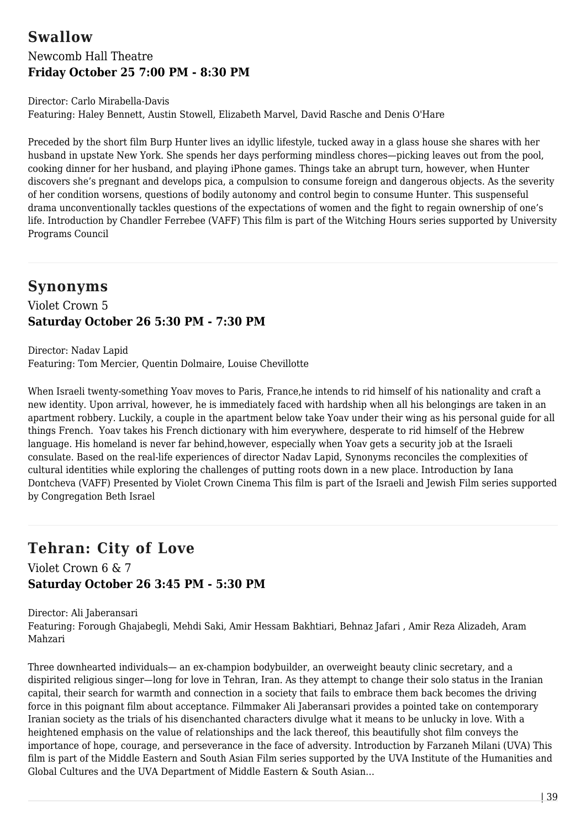## **Swallow** Newcomb Hall Theatre **Friday October 25 7:00 PM - 8:30 PM**

Director: Carlo Mirabella-Davis Featuring: Haley Bennett, Austin Stowell, Elizabeth Marvel, David Rasche and Denis O'Hare

Preceded by the short film Burp Hunter lives an idyllic lifestyle, tucked away in a glass house she shares with her husband in upstate New York. She spends her days performing mindless chores—picking leaves out from the pool, cooking dinner for her husband, and playing iPhone games. Things take an abrupt turn, however, when Hunter discovers she's pregnant and develops pica, a compulsion to consume foreign and dangerous objects. As the severity of her condition worsens, questions of bodily autonomy and control begin to consume Hunter. This suspenseful drama unconventionally tackles questions of the expectations of women and the fight to regain ownership of one's life. Introduction by Chandler Ferrebee (VAFF) This film is part of the Witching Hours series supported by University Programs Council

## **Synonyms**

Violet Crown 5 **Saturday October 26 5:30 PM - 7:30 PM**

Director: Nadav Lapid Featuring: Tom Mercier, Quentin Dolmaire, Louise Chevillotte

When Israeli twenty-something Yoav moves to Paris, France,he intends to rid himself of his nationality and craft a new identity. Upon arrival, however, he is immediately faced with hardship when all his belongings are taken in an apartment robbery. Luckily, a couple in the apartment below take Yoav under their wing as his personal guide for all things French. Yoav takes his French dictionary with him everywhere, desperate to rid himself of the Hebrew language. His homeland is never far behind, however, especially when Yoav gets a security job at the Israeli consulate. Based on the real-life experiences of director Nadav Lapid, Synonyms reconciles the complexities of cultural identities while exploring the challenges of putting roots down in a new place. Introduction by Iana Dontcheva (VAFF) Presented by Violet Crown Cinema This film is part of the Israeli and Jewish Film series supported by Congregation Beth Israel

# **Tehran: City of Love**

Violet Crown 6 & 7 **Saturday October 26 3:45 PM - 5:30 PM**

Director: Ali Jaberansari Featuring: Forough Ghajabegli, Mehdi Saki, Amir Hessam Bakhtiari, Behnaz Jafari , Amir Reza Alizadeh, Aram Mahzari

Three downhearted individuals— an ex-champion bodybuilder, an overweight beauty clinic secretary, and a dispirited religious singer—long for love in Tehran, Iran. As they attempt to change their solo status in the Iranian capital, their search for warmth and connection in a society that fails to embrace them back becomes the driving force in this poignant film about acceptance. Filmmaker Ali Jaberansari provides a pointed take on contemporary Iranian society as the trials of his disenchanted characters divulge what it means to be unlucky in love. With a heightened emphasis on the value of relationships and the lack thereof, this beautifully shot film conveys the importance of hope, courage, and perseverance in the face of adversity. Introduction by Farzaneh Milani (UVA) This film is part of the Middle Eastern and South Asian Film series supported by the UVA Institute of the Humanities and Global Cultures and the UVA Department of Middle Eastern & South Asian…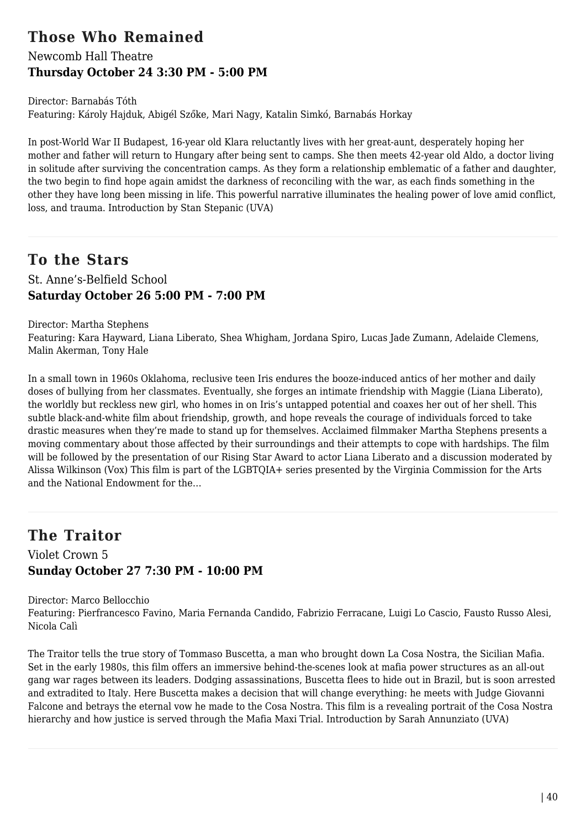## **Those Who Remained**

## Newcomb Hall Theatre **Thursday October 24 3:30 PM - 5:00 PM**

Director: Barnabás Tóth Featuring: Károly Hajduk, Abigél Szőke, Mari Nagy, Katalin Simkó, Barnabás Horkay

In post-World War II Budapest, 16-year old Klara reluctantly lives with her great-aunt, desperately hoping her mother and father will return to Hungary after being sent to camps. She then meets 42-year old Aldo, a doctor living in solitude after surviving the concentration camps. As they form a relationship emblematic of a father and daughter, the two begin to find hope again amidst the darkness of reconciling with the war, as each finds something in the other they have long been missing in life. This powerful narrative illuminates the healing power of love amid conflict, loss, and trauma. Introduction by Stan Stepanic (UVA)

# **To the Stars**

### St. Anne's-Belfield School **Saturday October 26 5:00 PM - 7:00 PM**

Director: Martha Stephens

Featuring: Kara Hayward, Liana Liberato, Shea Whigham, Jordana Spiro, Lucas Jade Zumann, Adelaide Clemens, Malin Akerman, Tony Hale

In a small town in 1960s Oklahoma, reclusive teen Iris endures the booze-induced antics of her mother and daily doses of bullying from her classmates. Eventually, she forges an intimate friendship with Maggie (Liana Liberato), the worldly but reckless new girl, who homes in on Iris's untapped potential and coaxes her out of her shell. This subtle black-and-white film about friendship, growth, and hope reveals the courage of individuals forced to take drastic measures when they're made to stand up for themselves. Acclaimed filmmaker Martha Stephens presents a moving commentary about those affected by their surroundings and their attempts to cope with hardships. The film will be followed by the presentation of our Rising Star Award to actor Liana Liberato and a discussion moderated by Alissa Wilkinson (Vox) This film is part of the LGBTQIA+ series presented by the Virginia Commission for the Arts and the National Endowment for the…

## **The Traitor**

### Violet Crown 5 **Sunday October 27 7:30 PM - 10:00 PM**

Director: Marco Bellocchio

Featuring: Pierfrancesco Favino, Maria Fernanda Candido, Fabrizio Ferracane, Luigi Lo Cascio, Fausto Russo Alesi, Nicola Calì

The Traitor tells the true story of Tommaso Buscetta, a man who brought down La Cosa Nostra, the Sicilian Mafia. Set in the early 1980s, this film offers an immersive behind-the-scenes look at mafia power structures as an all-out gang war rages between its leaders. Dodging assassinations, Buscetta flees to hide out in Brazil, but is soon arrested and extradited to Italy. Here Buscetta makes a decision that will change everything: he meets with Judge Giovanni Falcone and betrays the eternal vow he made to the Cosa Nostra. This film is a revealing portrait of the Cosa Nostra hierarchy and how justice is served through the Mafia Maxi Trial. Introduction by Sarah Annunziato (UVA)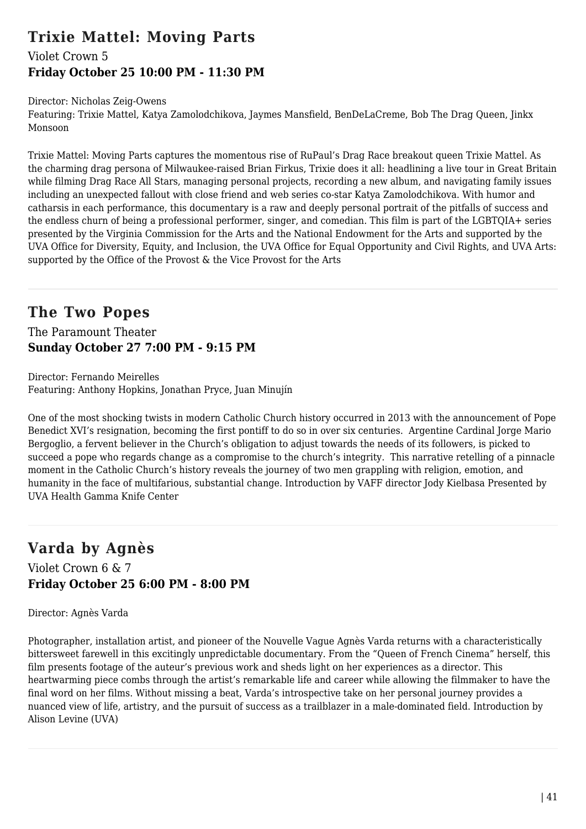## **Trixie Mattel: Moving Parts**

### Violet Crown 5 **Friday October 25 10:00 PM - 11:30 PM**

Director: Nicholas Zeig-Owens

Featuring: Trixie Mattel, Katya Zamolodchikova, Jaymes Mansfield, BenDeLaCreme, Bob The Drag Queen, Jinkx Monsoon

Trixie Mattel: Moving Parts captures the momentous rise of RuPaul's Drag Race breakout queen Trixie Mattel. As the charming drag persona of Milwaukee-raised Brian Firkus, Trixie does it all: headlining a live tour in Great Britain while filming Drag Race All Stars, managing personal projects, recording a new album, and navigating family issues including an unexpected fallout with close friend and web series co-star Katya Zamolodchikova. With humor and catharsis in each performance, this documentary is a raw and deeply personal portrait of the pitfalls of success and the endless churn of being a professional performer, singer, and comedian. This film is part of the LGBTQIA+ series presented by the Virginia Commission for the Arts and the National Endowment for the Arts and supported by the UVA Office for Diversity, Equity, and Inclusion, the UVA Office for Equal Opportunity and Civil Rights, and UVA Arts: supported by the Office of the Provost & the Vice Provost for the Arts

## **The Two Popes**

The Paramount Theater **Sunday October 27 7:00 PM - 9:15 PM**

Director: Fernando Meirelles Featuring: Anthony Hopkins, Jonathan Pryce, Juan Minujín

One of the most shocking twists in modern Catholic Church history occurred in 2013 with the announcement of Pope Benedict XVI's resignation, becoming the first pontiff to do so in over six centuries. Argentine Cardinal Jorge Mario Bergoglio, a fervent believer in the Church's obligation to adjust towards the needs of its followers, is picked to succeed a pope who regards change as a compromise to the church's integrity. This narrative retelling of a pinnacle moment in the Catholic Church's history reveals the journey of two men grappling with religion, emotion, and humanity in the face of multifarious, substantial change. Introduction by VAFF director Jody Kielbasa Presented by UVA Health Gamma Knife Center

# **Varda by Agnès**

### Violet Crown 6 & 7 **Friday October 25 6:00 PM - 8:00 PM**

Director: Agnès Varda

Photographer, installation artist, and pioneer of the Nouvelle Vague Agnès Varda returns with a characteristically bittersweet farewell in this excitingly unpredictable documentary. From the "Queen of French Cinema" herself, this film presents footage of the auteur's previous work and sheds light on her experiences as a director. This heartwarming piece combs through the artist's remarkable life and career while allowing the filmmaker to have the final word on her films. Without missing a beat, Varda's introspective take on her personal journey provides a nuanced view of life, artistry, and the pursuit of success as a trailblazer in a male-dominated field. Introduction by Alison Levine (UVA)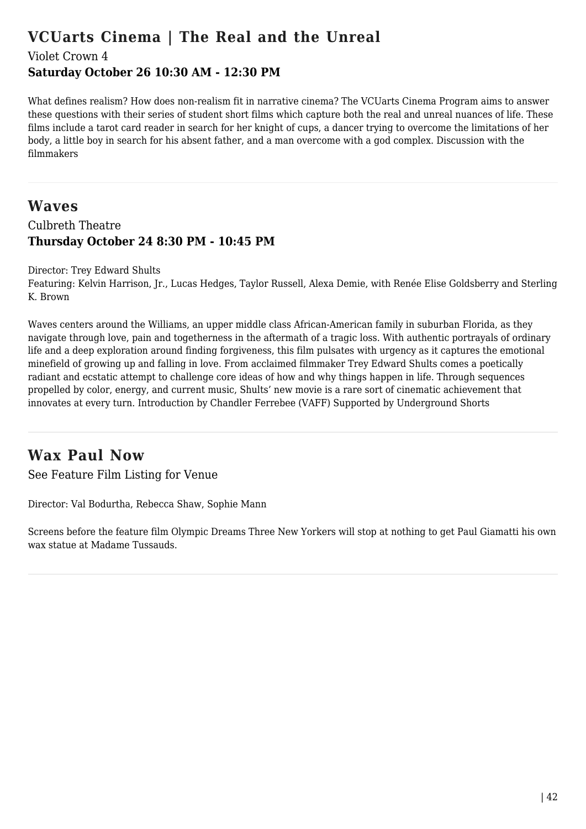## **VCUarts Cinema | The Real and the Unreal**

Violet Crown 4

### **Saturday October 26 10:30 AM - 12:30 PM**

What defines realism? How does non-realism fit in narrative cinema? The VCUarts Cinema Program aims to answer these questions with their series of student short films which capture both the real and unreal nuances of life. These films include a tarot card reader in search for her knight of cups, a dancer trying to overcome the limitations of her body, a little boy in search for his absent father, and a man overcome with a god complex. Discussion with the filmmakers

## **Waves** Culbreth Theatre **Thursday October 24 8:30 PM - 10:45 PM**

#### Director: Trey Edward Shults

Featuring: Kelvin Harrison, Jr., Lucas Hedges, Taylor Russell, Alexa Demie, with Renée Elise Goldsberry and Sterling K. Brown

Waves centers around the Williams, an upper middle class African-American family in suburban Florida, as they navigate through love, pain and togetherness in the aftermath of a tragic loss. With authentic portrayals of ordinary life and a deep exploration around finding forgiveness, this film pulsates with urgency as it captures the emotional minefield of growing up and falling in love. From acclaimed filmmaker Trey Edward Shults comes a poetically radiant and ecstatic attempt to challenge core ideas of how and why things happen in life. Through sequences propelled by color, energy, and current music, Shults' new movie is a rare sort of cinematic achievement that innovates at every turn. Introduction by Chandler Ferrebee (VAFF) Supported by Underground Shorts

## **Wax Paul Now**

See Feature Film Listing for Venue

Director: Val Bodurtha, Rebecca Shaw, Sophie Mann

Screens before the feature film Olympic Dreams Three New Yorkers will stop at nothing to get Paul Giamatti his own wax statue at Madame Tussauds.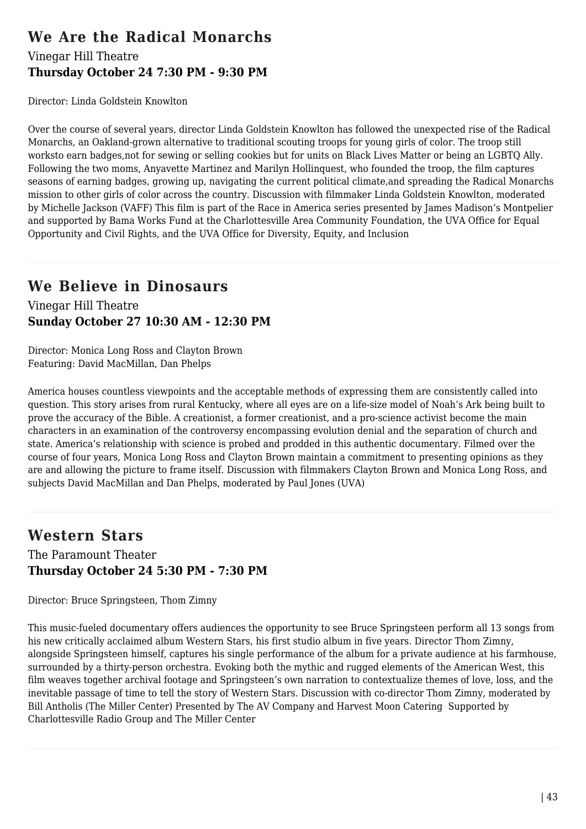# **We Are the Radical Monarchs**

#### Vinegar Hill Theatre **Thursday October 24 7:30 PM - 9:30 PM**

Director: Linda Goldstein Knowlton

Over the course of several years, director Linda Goldstein Knowlton has followed the unexpected rise of the Radical Monarchs, an Oakland-grown alternative to traditional scouting troops for young girls of color. The troop still worksto earn badges,not for sewing or selling cookies but for units on Black Lives Matter or being an LGBTQ Ally. Following the two moms, Anyavette Martinez and Marilyn Hollinquest, who founded the troop, the film captures seasons of earning badges, growing up, navigating the current political climate,and spreading the Radical Monarchs mission to other girls of color across the country. Discussion with filmmaker Linda Goldstein Knowlton, moderated by Michelle Jackson (VAFF) This film is part of the Race in America series presented by James Madison's Montpelier and supported by Bama Works Fund at the Charlottesville Area Community Foundation, the UVA Office for Equal Opportunity and Civil Rights, and the UVA Office for Diversity, Equity, and Inclusion

## **We Believe in Dinosaurs**

Vinegar Hill Theatre **Sunday October 27 10:30 AM - 12:30 PM**

Director: Monica Long Ross and Clayton Brown Featuring: David MacMillan, Dan Phelps

America houses countless viewpoints and the acceptable methods of expressing them are consistently called into question. This story arises from rural Kentucky, where all eyes are on a life-size model of Noah's Ark being built to prove the accuracy of the Bible. A creationist, a former creationist, and a pro-science activist become the main characters in an examination of the controversy encompassing evolution denial and the separation of church and state. America's relationship with science is probed and prodded in this authentic documentary. Filmed over the course of four years, Monica Long Ross and Clayton Brown maintain a commitment to presenting opinions as they are and allowing the picture to frame itself. Discussion with filmmakers Clayton Brown and Monica Long Ross, and subjects David MacMillan and Dan Phelps, moderated by Paul Jones (UVA)

## **Western Stars**

The Paramount Theater **Thursday October 24 5:30 PM - 7:30 PM**

Director: Bruce Springsteen, Thom Zimny

This music-fueled documentary offers audiences the opportunity to see Bruce Springsteen perform all 13 songs from his new critically acclaimed album Western Stars, his first studio album in five years. Director Thom Zimny, alongside Springsteen himself, captures his single performance of the album for a private audience at his farmhouse, surrounded by a thirty-person orchestra. Evoking both the mythic and rugged elements of the American West, this film weaves together archival footage and Springsteen's own narration to contextualize themes of love, loss, and the inevitable passage of time to tell the story of Western Stars. Discussion with co-director Thom Zimny, moderated by Bill Antholis (The Miller Center) Presented by The AV Company and Harvest Moon Catering Supported by Charlottesville Radio Group and The Miller Center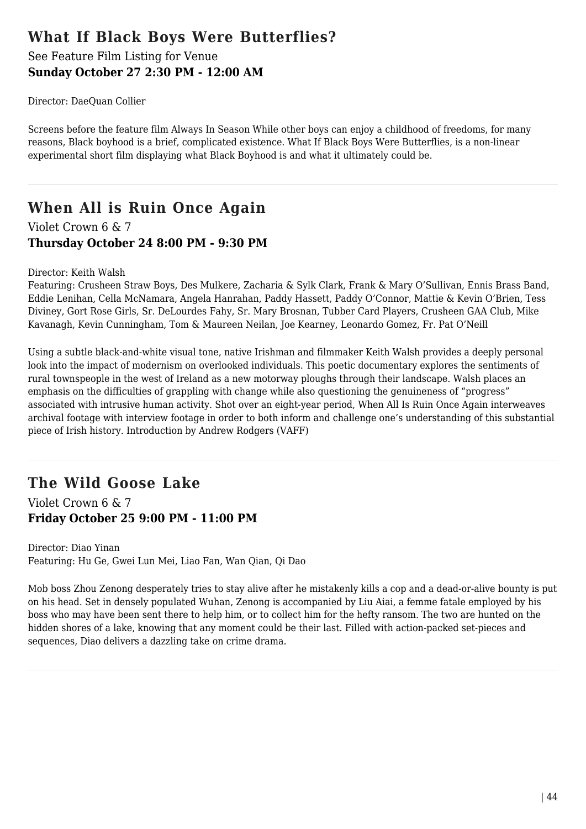## **What If Black Boys Were Butterflies?**

### See Feature Film Listing for Venue **Sunday October 27 2:30 PM - 12:00 AM**

Director: DaeQuan Collier

Screens before the feature film Always In Season While other boys can enjoy a childhood of freedoms, for many reasons, Black boyhood is a brief, complicated existence. What If Black Boys Were Butterflies, is a non-linear experimental short film displaying what Black Boyhood is and what it ultimately could be.

# **When All is Ruin Once Again**

Violet Crown 6 & 7 **Thursday October 24 8:00 PM - 9:30 PM**

#### Director: Keith Walsh

Featuring: Crusheen Straw Boys, Des Mulkere, Zacharia & Sylk Clark, Frank & Mary O'Sullivan, Ennis Brass Band, Eddie Lenihan, Cella McNamara, Angela Hanrahan, Paddy Hassett, Paddy O'Connor, Mattie & Kevin O'Brien, Tess Diviney, Gort Rose Girls, Sr. DeLourdes Fahy, Sr. Mary Brosnan, Tubber Card Players, Crusheen GAA Club, Mike Kavanagh, Kevin Cunningham, Tom & Maureen Neilan, Joe Kearney, Leonardo Gomez, Fr. Pat O'Neill

Using a subtle black-and-white visual tone, native Irishman and filmmaker Keith Walsh provides a deeply personal look into the impact of modernism on overlooked individuals. This poetic documentary explores the sentiments of rural townspeople in the west of Ireland as a new motorway ploughs through their landscape. Walsh places an emphasis on the difficulties of grappling with change while also questioning the genuineness of "progress" associated with intrusive human activity. Shot over an eight-year period, When All Is Ruin Once Again interweaves archival footage with interview footage in order to both inform and challenge one's understanding of this substantial piece of Irish history. Introduction by Andrew Rodgers (VAFF)

# **The Wild Goose Lake**

Violet Crown 6 & 7 **Friday October 25 9:00 PM - 11:00 PM**

Director: Diao Yinan Featuring: Hu Ge, Gwei Lun Mei, Liao Fan, Wan Qian, Qi Dao

Mob boss Zhou Zenong desperately tries to stay alive after he mistakenly kills a cop and a dead-or-alive bounty is put on his head. Set in densely populated Wuhan, Zenong is accompanied by Liu Aiai, a femme fatale employed by his boss who may have been sent there to help him, or to collect him for the hefty ransom. The two are hunted on the hidden shores of a lake, knowing that any moment could be their last. Filled with action-packed set-pieces and sequences, Diao delivers a dazzling take on crime drama.